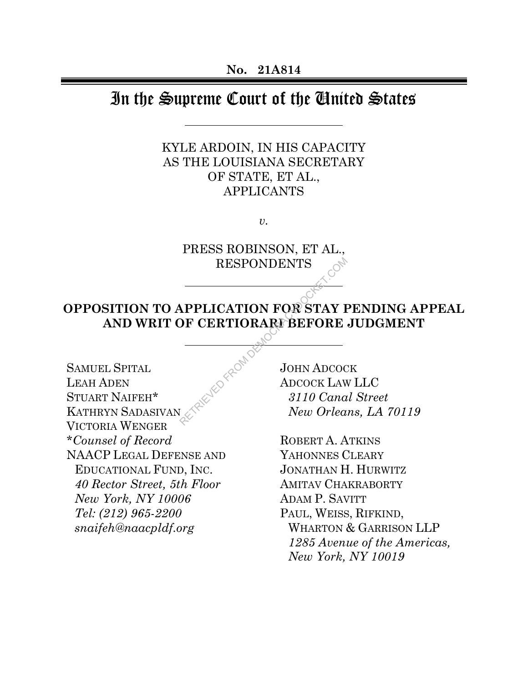# In the Supreme Court of the United States

# KYLE ARDOIN, IN HIS CAPACITY AS THE LOUISIANA SECRETARY OF STATE, ET AL., APPLICANTS

*v.* 

PRESS ROBINSON, ET AL., RESPONDENTS

# **OPPOSITION TO APPLICATION FOR STAY PENDING APPEAL AND WRIT OF CERTIORARI BEFORE JUDGMENT**  RESPONDENTS<br> **APPLICATION FOR STAY I**<br> **DF CERTIORARI BEFORE**<br>
JOHN ADCOCKET.COM COMPRETE:<br> *ADCOCKEAN*<br> *BI10 Cana*<br> *New Orlea*

SAMUEL SPITAL LEAH ADEN STUART NAIFEH\* KATHRYN SADASIVAN VICTORIA WENGER \**Counsel of Record* NAACP LEGAL DEFENSE AND EDUCATIONAL FUND, INC. *40 Rector Street, 5th Floor New York, NY 10006 Tel: (212) 965-2200 snaifeh@naacpldf.org* 

JOHN ADCOCK ADCOCK LAW LLC *3110 Canal Street New Orleans, LA 70119* 

ROBERT A. ATKINS YAHONNES CLEARY JONATHAN H. HURWITZ AMITAV CHAKRABORTY ADAM P. SAVITT PAUL, WEISS, RIFKIND, WHARTON & GARRISON LLP *1285 Avenue of the Americas, New York, NY 10019*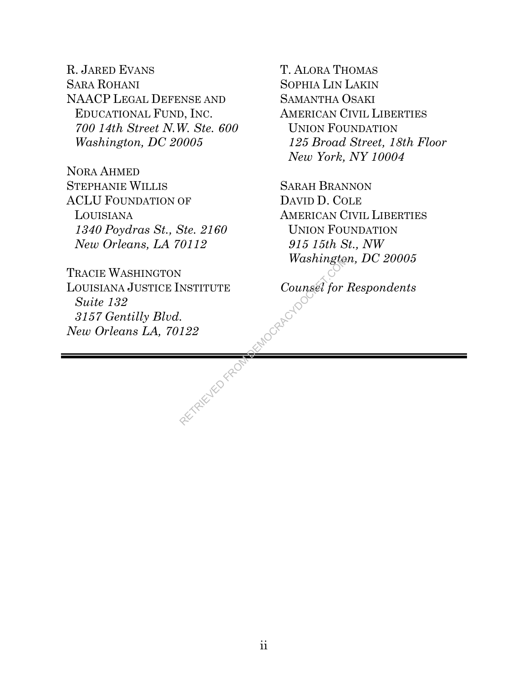R. JARED EVANS SARA ROHANI NAACP LEGAL DEFENSE AND EDUCATIONAL FUND, INC. *700 14th Street N.W. Ste. 600 Washington, DC 20005* 

NORA AHMED STEPHANIE WILLIS ACLU FOUNDATION OF LOUISIANA *1340 Poydras St., Ste. 2160 New Orleans, LA 70112* 

TRACIE WASHINGTON LOUISIANA JUSTICE INSTITUTE *Suite 132 3157 Gentilly Blvd. New Orleans LA, 70122*

RETRIEVED FROM

T. ALORA THOMAS SOPHIA LIN LAKIN SAMANTHA OSAKI AMERICAN CIVIL LIBERTIES UNION FOUNDATION *125 Broad Street, 18th Floor New York, NY 10004* 

SARAH BRANNON DAVID D. COLE AMERICAN CIVIL LIBERTIES UNION FOUNDATION *915 15th St., NW Washington, DC 20005* 

*Counsel for Respondents*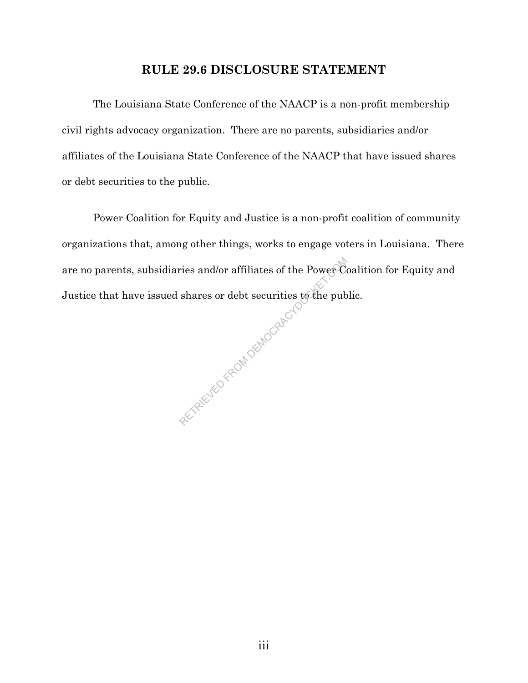# **RULE 29.6 DISCLOSURE STATEMENT**

The Louisiana State Conference of the NAACP is a non-profit membership civil rights advocacy organization. There are no parents, subsidiaries and/or affiliates of the Louisiana State Conference of the NAACP that have issued shares or debt securities to the public.

Power Coalition for Equity and Justice is a non-profit coalition of community organizations that, among other things, works to engage voters in Louisiana. There are no parents, subsidiaries and/or affiliates of the Power Coalition for Equity and Justice that have issued shares or debt securities to the public. ries and/or affiliates of the Power Containers or debt securities to the pub

iii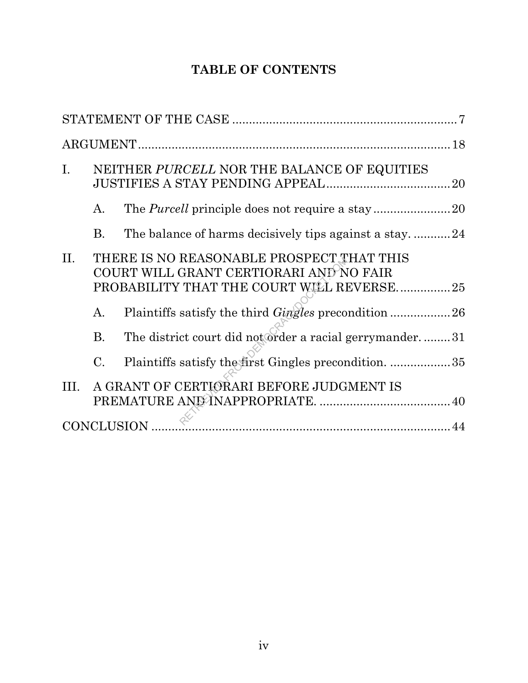# **TABLE OF CONTENTS**

| $I_{\cdot}$<br>NEITHER PURCELL NOR THE BALANCE OF EQUITIES |                                                                                                                                   |                                                             |  |  |  |
|------------------------------------------------------------|-----------------------------------------------------------------------------------------------------------------------------------|-------------------------------------------------------------|--|--|--|
|                                                            | A.                                                                                                                                |                                                             |  |  |  |
|                                                            | <b>B.</b>                                                                                                                         | The balance of harms decisively tips against a stay24       |  |  |  |
| П.                                                         | THERE IS NO REASONABLE PROSPECT THAT THIS<br>COURT WILL GRANT CERTIORARI AND NO FAIR<br>PROBABILITY THAT THE COURT WILL REVERSE25 |                                                             |  |  |  |
|                                                            | A.                                                                                                                                | Plaintiffs satisfy the third <i>Gingles</i> precondition 26 |  |  |  |
|                                                            | <b>B.</b>                                                                                                                         | The district court did not order a racial gerrymander31     |  |  |  |
|                                                            | $\mathcal{C}$ .                                                                                                                   | Plaintiffs satisfy the first Gingles precondition. 35       |  |  |  |
| III.                                                       |                                                                                                                                   | A GRANT OF CERTIORARI BEFORE JUDGMENT IS                    |  |  |  |
| CONCLUSION                                                 |                                                                                                                                   |                                                             |  |  |  |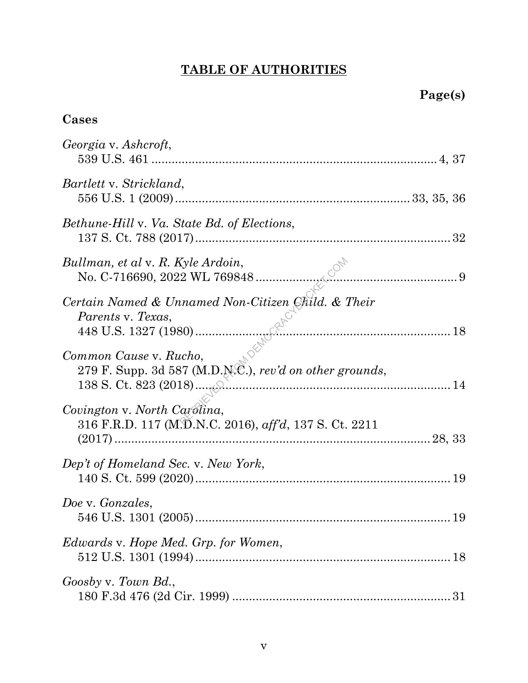# **TABLE OF AUTHORITIES**

# **Cases**

| Georgia v. Ashcroft,                                                                   |
|----------------------------------------------------------------------------------------|
| Bartlett v. Strickland,                                                                |
| Bethune-Hill v. Va. State Bd. of Elections,                                            |
| Bullman, et al v. R. Kyle Ardoin,                                                      |
| Certain Named & Unnamed Non-Citizen Child. & Their                                     |
| Common Cause v. Rucho,<br>279 F. Supp. 3d 587 (M.D.N.C.), rev'd on other grounds,      |
| Covington v. North Carolina,<br>316 F.R.D. 117 (M.D.N.C. 2016), aff'd, 137 S. Ct. 2211 |
| Dep't of Homeland Sec. v. New York,                                                    |
| Doe v. Gonzales,                                                                       |
| <i>Edwards v. Hope Med. Grp. for Women,</i><br>18                                      |
| Goosby v. Town Bd.,                                                                    |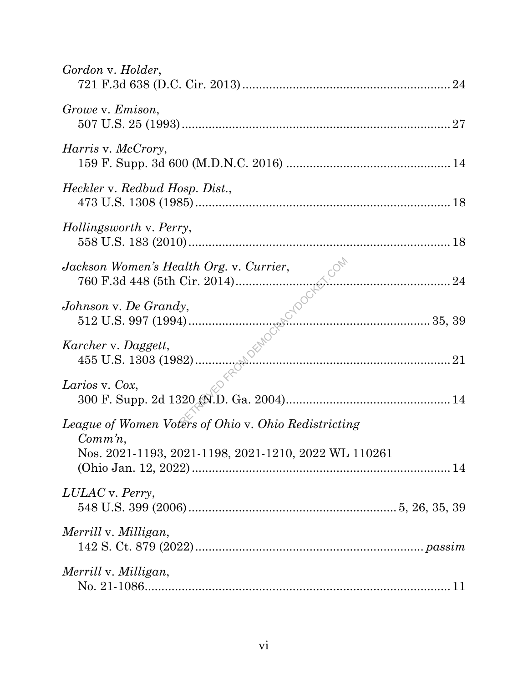| Gordon v. Holder,                                                                                                          |
|----------------------------------------------------------------------------------------------------------------------------|
| Growe v. Emison,                                                                                                           |
| <i>Harris v. McCrory,</i>                                                                                                  |
| Heckler v. Redbud Hosp. Dist.,                                                                                             |
| Hollingsworth v. Perry,                                                                                                    |
| Jackson Women's Health Org. v. Currier,                                                                                    |
| Johnson v. De Grandy,                                                                                                      |
| Karcher v. Daggett,                                                                                                        |
| Larios v. Cox,                                                                                                             |
| League of Women Voters of Ohio v. Ohio Redistricting<br>$Comm'n$ ,<br>Nos. 2021-1193, 2021-1198, 2021-1210, 2022 WL 110261 |
| LULAC v. Perry,                                                                                                            |
| Merrill v. Milligan,                                                                                                       |
| Merrill v. Milligan,                                                                                                       |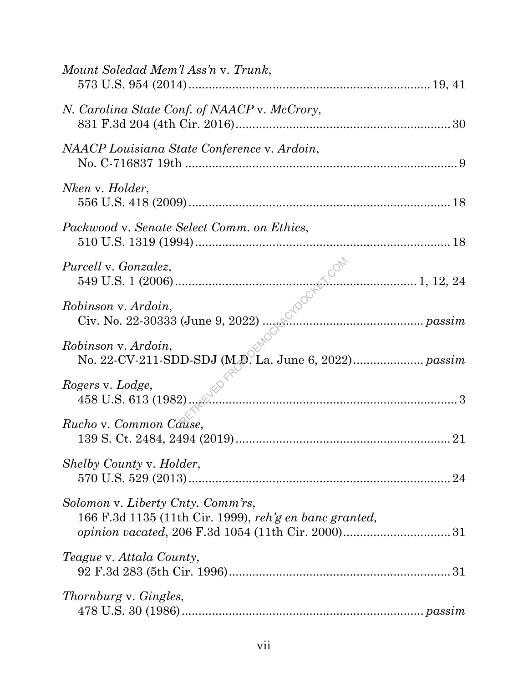| Mount Soledad Mem'l Ass'n v. Trunk,                                                         |  |
|---------------------------------------------------------------------------------------------|--|
| N. Carolina State Conf. of NAACP v. McCrory,                                                |  |
| NAACP Louisiana State Conference v. Ardoin,                                                 |  |
| Nken v. Holder,                                                                             |  |
| Packwood v. Senate Select Comm. on Ethics,                                                  |  |
| <i>Purcell</i> v. <i>Gonzalez</i> ,                                                         |  |
| Robinson v. Ardoin,                                                                         |  |
| Robinson v. Ardoin,                                                                         |  |
| Rogers v. Lodge,                                                                            |  |
| Rucho v. Common Cause,                                                                      |  |
| Shelby County v. Holder,                                                                    |  |
| Solomon v. Liberty Cnty. Comm'rs,<br>166 F.3d 1135 (11th Cir. 1999), reh'g en banc granted, |  |
| <i>Teague v. Attala County,</i>                                                             |  |
| Thornburg v. Gingles,                                                                       |  |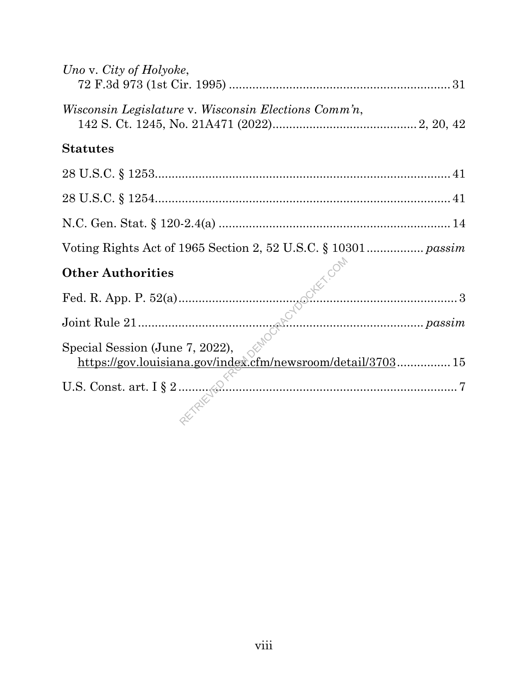| Uno v. City of Holyoke,                                     |  |
|-------------------------------------------------------------|--|
| <i>Wisconsin Legislature v. Wisconsin Elections Comm'n,</i> |  |
| <b>Statutes</b>                                             |  |
|                                                             |  |
|                                                             |  |
|                                                             |  |
|                                                             |  |
|                                                             |  |
|                                                             |  |
|                                                             |  |
|                                                             |  |
|                                                             |  |
|                                                             |  |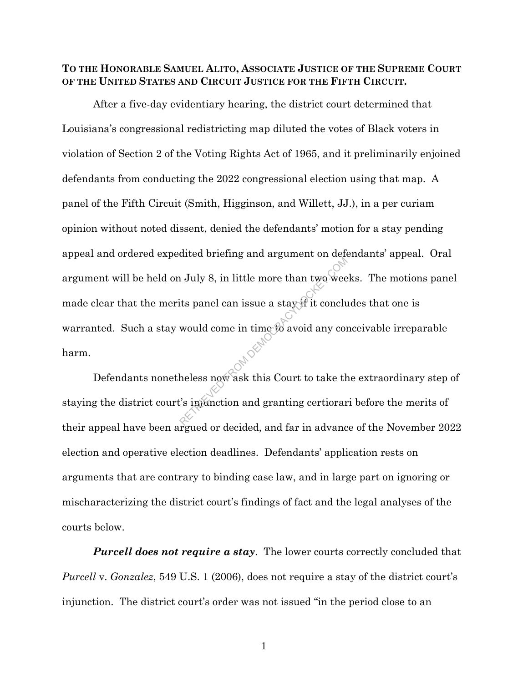## **TO THE HONORABLE SAMUEL ALITO, ASSOCIATE JUSTICE OF THE SUPREME COURT OF THE UNITED STATES AND CIRCUIT JUSTICE FOR THE FIFTH CIRCUIT.**

After a five-day evidentiary hearing, the district court determined that Louisiana's congressional redistricting map diluted the votes of Black voters in violation of Section 2 of the Voting Rights Act of 1965, and it preliminarily enjoined defendants from conducting the 2022 congressional election using that map. A panel of the Fifth Circuit (Smith, Higginson, and Willett, JJ.), in a per curiam opinion without noted dissent, denied the defendants' motion for a stay pending appeal and ordered expedited briefing and argument on defendants' appeal. Oral argument will be held on July 8, in little more than two weeks. The motions panel made clear that the merits panel can issue a stay if it concludes that one is warranted. Such a stay would come in time to avoid any conceivable irreparable harm. RETRIEVED FROM DEMOCRACYDOCKET.COM

Defendants nonetheless now ask this Court to take the extraordinary step of staying the district court's injunction and granting certiorari before the merits of their appeal have been argued or decided, and far in advance of the November 2022 election and operative election deadlines. Defendants' application rests on arguments that are contrary to binding case law, and in large part on ignoring or mischaracterizing the district court's findings of fact and the legal analyses of the courts below.

*Purcell does not require a stay*. The lower courts correctly concluded that *Purcell* v. *Gonzalez*, 549 U.S. 1 (2006), does not require a stay of the district court's injunction. The district court's order was not issued "in the period close to an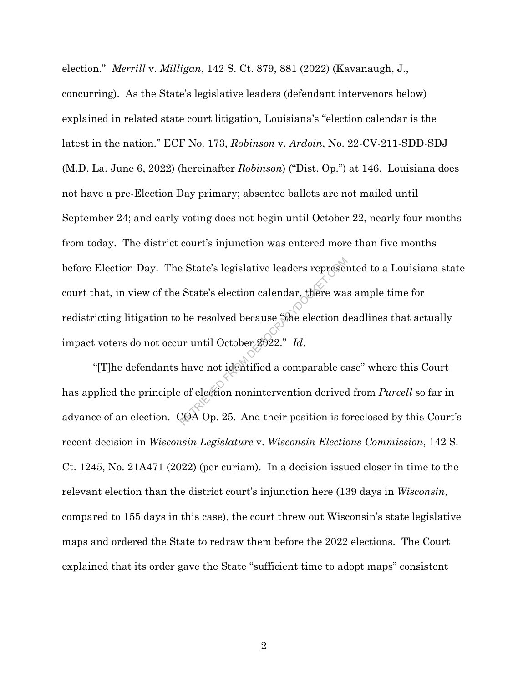election." *Merrill* v. *Milligan*, 142 S. Ct. 879, 881 (2022) (Kavanaugh, J., concurring). As the State's legislative leaders (defendant intervenors below) explained in related state court litigation, Louisiana's "election calendar is the latest in the nation." ECF No. 173, *Robinson* v. *Ardoin*, No. 22-CV-211-SDD-SDJ (M.D. La. June 6, 2022) (hereinafter *Robinson*) ("Dist. Op.") at 146. Louisiana does not have a pre-Election Day primary; absentee ballots are not mailed until September 24; and early voting does not begin until October 22, nearly four months from today. The district court's injunction was entered more than five months before Election Day. The State's legislative leaders represented to a Louisiana state court that, in view of the State's election calendar, there was ample time for redistricting litigation to be resolved because "the election deadlines that actually impact voters do not occur until October 2022." *Id*. e State's legislative leaders represent<br>State's election calendar, there was<br>be resolved because "the election d<br>ar until October 2022." Id.<br>have not identified a comparable category<br>of election nonintervention derived<br>COA

"[T]he defendants have not identified a comparable case" where this Court has applied the principle of election nonintervention derived from *Purcell* so far in advance of an election. COA Op. 25. And their position is foreclosed by this Court's recent decision in *Wisconsin Legislature* v. *Wisconsin Elections Commission*, 142 S. Ct. 1245, No. 21A471 (2022) (per curiam). In a decision issued closer in time to the relevant election than the district court's injunction here (139 days in *Wisconsin*, compared to 155 days in this case), the court threw out Wisconsin's state legislative maps and ordered the State to redraw them before the 2022 elections. The Court explained that its order gave the State "sufficient time to adopt maps" consistent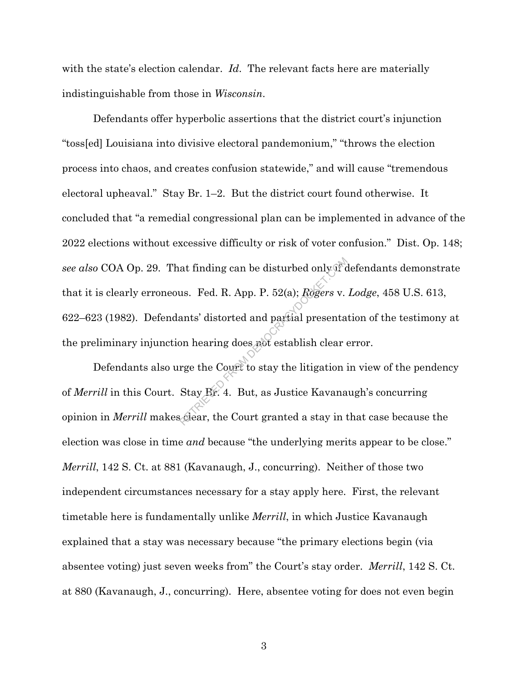with the state's election calendar. *Id*. The relevant facts here are materially indistinguishable from those in *Wisconsin*.

Defendants offer hyperbolic assertions that the district court's injunction "toss[ed] Louisiana into divisive electoral pandemonium," "throws the election process into chaos, and creates confusion statewide," and will cause "tremendous electoral upheaval." Stay Br. 1–2. But the district court found otherwise. It concluded that "a remedial congressional plan can be implemented in advance of the 2022 elections without excessive difficulty or risk of voter confusion." Dist. Op. 148; *see also* COA Op. 29. That finding can be disturbed only if defendants demonstrate that it is clearly erroneous. Fed. R. App. P. 52(a); *Rogers* v. *Lodge*, 458 U.S. 613, 622–623 (1982). Defendants' distorted and partial presentation of the testimony at the preliminary injunction hearing does not establish clear error. at finding can be disturbed only if c<br>
us. Fed. R. App. P. 52(a); Rogers v.<br>
ants' distorted and partial presenta<br>
on hearing does not establish clear<br>
rge the Court to stay the litigation i<br>
Stay Br. 4. But, as Justice Ka

Defendants also urge the Court to stay the litigation in view of the pendency of *Merrill* in this Court. Stay Br. 4. But, as Justice Kavanaugh's concurring opinion in *Merrill* makes clear, the Court granted a stay in that case because the election was close in time *and* because "the underlying merits appear to be close." *Merrill*, 142 S. Ct. at 881 (Kavanaugh, J., concurring). Neither of those two independent circumstances necessary for a stay apply here. First, the relevant timetable here is fundamentally unlike *Merrill*, in which Justice Kavanaugh explained that a stay was necessary because "the primary elections begin (via absentee voting) just seven weeks from" the Court's stay order. *Merrill*, 142 S. Ct. at 880 (Kavanaugh, J., concurring). Here, absentee voting for does not even begin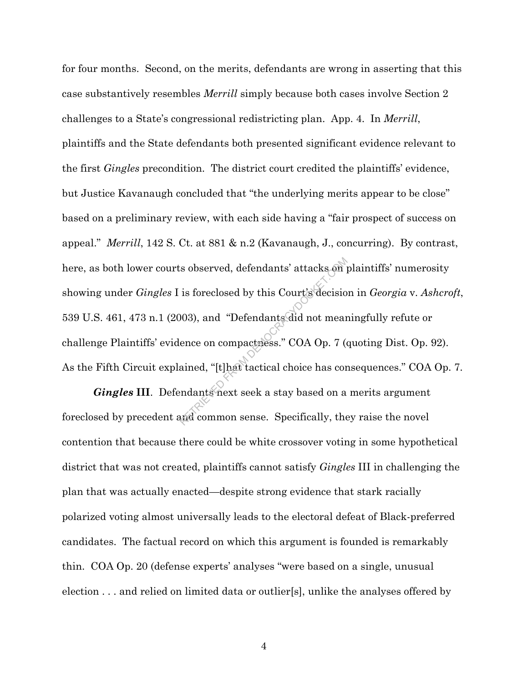for four months. Second, on the merits, defendants are wrong in asserting that this case substantively resembles *Merrill* simply because both cases involve Section 2 challenges to a State's congressional redistricting plan. App. 4.In *Merrill*, plaintiffs and the State defendants both presented significant evidence relevant to the first *Gingles* precondition. The district court credited the plaintiffs' evidence, but Justice Kavanaugh concluded that "the underlying merits appear to be close" based on a preliminary review, with each side having a "fair prospect of success on appeal." *Merrill*, 142 S. Ct. at 881 & n.2 (Kavanaugh, J., concurring). By contrast, here, as both lower courts observed, defendants' attacks on plaintiffs' numerosity showing under *Gingles* I is foreclosed by this Court's decision in *Georgia* v. *Ashcroft*, 539 U.S. 461, 473 n.1 (2003), and "Defendants did not meaningfully refute or challenge Plaintiffs' evidence on compactness." COA Op. 7 (quoting Dist. Op. 92). As the Fifth Circuit explained, "[t]hat tactical choice has consequences." COA Op. 7. Expredience of defendants' attacks on j<br>is foreclosed by this Court's decisio<br>003), and "Defendants did not mear<br>ence on compactness." COA Op. 7 (d<br>ained, "[t]hat tactical choice has cor<br>endants next seek a stay based on a

*Gingles* **III**. Defendants next seek a stay based on a merits argument foreclosed by precedent and common sense. Specifically, they raise the novel contention that because there could be white crossover voting in some hypothetical district that was not created, plaintiffs cannot satisfy *Gingles* III in challenging the plan that was actually enacted—despite strong evidence that stark racially polarized voting almost universally leads to the electoral defeat of Black-preferred candidates. The factual record on which this argument is founded is remarkably thin. COA Op. 20 (defense experts' analyses "were based on a single, unusual election . . . and relied on limited data or outlier[s], unlike the analyses offered by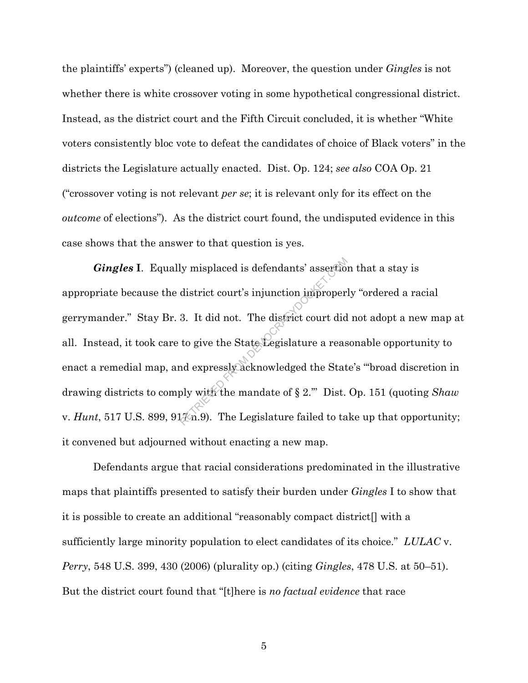the plaintiffs' experts") (cleaned up). Moreover, the question under *Gingles* is not whether there is white crossover voting in some hypothetical congressional district. Instead, as the district court and the Fifth Circuit concluded, it is whether "White voters consistently bloc vote to defeat the candidates of choice of Black voters" in the districts the Legislature actually enacted. Dist. Op. 124; *see also* COA Op. 21 ("crossover voting is not relevant *per se*; it is relevant only for its effect on the *outcome* of elections"). As the district court found, the undisputed evidence in this case shows that the answer to that question is yes.

*Gingles* **I**. Equally misplaced is defendants' assertion that a stay is appropriate because the district court's injunction improperly "ordered a racial gerrymander." Stay Br. 3. It did not. The district court did not adopt a new map at all. Instead, it took care to give the State Legislature a reasonable opportunity to enact a remedial map, and expressly acknowledged the State's "'broad discretion in drawing districts to comply with the mandate of § 2.'" Dist. Op. 151 (quoting *Shaw*  v. *Hunt*, 517 U.S. 899, 91%n.9). The Legislature failed to take up that opportunity; it convened but adjourned without enacting a new map. ly misplaced is defendants' assertion<br>district court's injunction improper:<br>3. It did not. The district court did<br>to give the State Legislature a reas<br>nd expressly acknowledged the Stat<br>ply with the mandate of § 2." Dist.<br>

Defendants argue that racial considerations predominated in the illustrative maps that plaintiffs presented to satisfy their burden under *Gingles* I to show that it is possible to create an additional "reasonably compact district[] with a sufficiently large minority population to elect candidates of its choice." *LULAC* v. *Perry*, 548 U.S. 399, 430 (2006) (plurality op.) (citing *Gingles*, 478 U.S. at 50–51). But the district court found that "[t]here is *no factual evidence* that race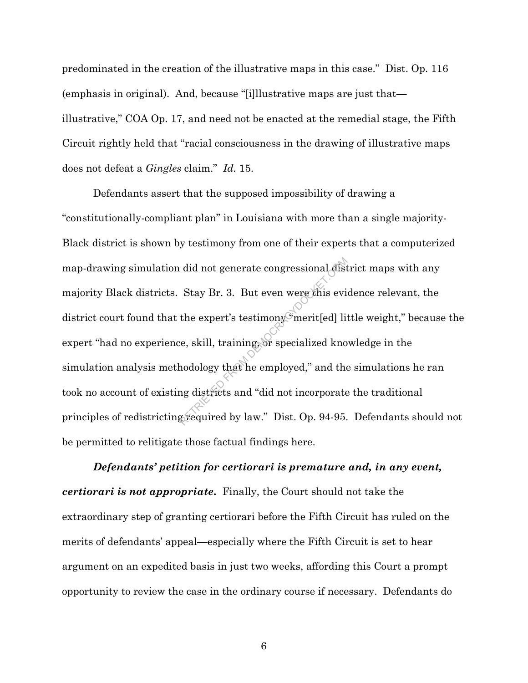predominated in the creation of the illustrative maps in this case." Dist. Op. 116 (emphasis in original). And, because "[i]llustrative maps are just that illustrative," COA Op. 17, and need not be enacted at the remedial stage, the Fifth Circuit rightly held that "racial consciousness in the drawing of illustrative maps does not defeat a *Gingles* claim." *Id.* 15.

Defendants assert that the supposed impossibility of drawing a "constitutionally-compliant plan" in Louisiana with more than a single majority-Black district is shown by testimony from one of their experts that a computerized map-drawing simulation did not generate congressional district maps with any majority Black districts. Stay Br. 3. But even were this evidence relevant, the district court found that the expert's testimony "merit[ed] little weight," because the expert "had no experience, skill, training, or specialized knowledge in the simulation analysis methodology that he employed," and the simulations he ran took no account of existing districts and "did not incorporate the traditional principles of redistricting required by law." Dist. Op. 94-95. Defendants should not be permitted to relitigate those factual findings here. did not generate congressional dist<br>Stay Br. 3. But even were this evi<br>the expert's testimony merit[ed] live, skill, training, or specialized kno<br>nodology that he employed," and the<br>ng districts and "did not incorporate<br>gr

*Defendants' petition for certiorari is premature and, in any event, certiorari is not appropriate***.** Finally, the Court should not take the extraordinary step of granting certiorari before the Fifth Circuit has ruled on the merits of defendants' appeal—especially where the Fifth Circuit is set to hear argument on an expedited basis in just two weeks, affording this Court a prompt opportunity to review the case in the ordinary course if necessary. Defendants do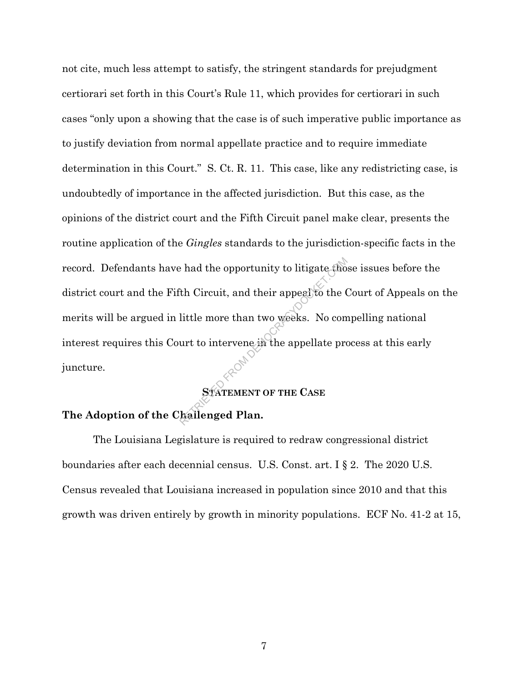not cite, much less attempt to satisfy, the stringent standards for prejudgment certiorari set forth in this Court's Rule 11, which provides for certiorari in such cases "only upon a showing that the case is of such imperative public importance as to justify deviation from normal appellate practice and to require immediate determination in this Court." S. Ct. R. 11. This case, like any redistricting case, is undoubtedly of importance in the affected jurisdiction. But this case, as the opinions of the district court and the Fifth Circuit panel make clear, presents the routine application of the *Gingles* standards to the jurisdiction-specific facts in the record. Defendants have had the opportunity to litigate those issues before the district court and the Fifth Circuit, and their appeal to the Court of Appeals on the merits will be argued in little more than two weeks. No compelling national interest requires this Court to intervene in the appellate process at this early juncture. A the opportunity to litigate tho<br>
The Circuit, and their appeal to the C<br>
little more than two weeks. No com<br>
urt to intervene in the appellate pro<br>
STATEMENT OF THE CASE<br>
Rallenged Plan.

## **STATEMENT OF THE CASE**

## **The Adoption of the Challenged Plan.**

The Louisiana Legislature is required to redraw congressional district boundaries after each decennial census. U.S. Const. art. I § 2. The 2020 U.S. Census revealed that Louisiana increased in population since 2010 and that this growth was driven entirely by growth in minority populations. ECF No. 41-2 at 15,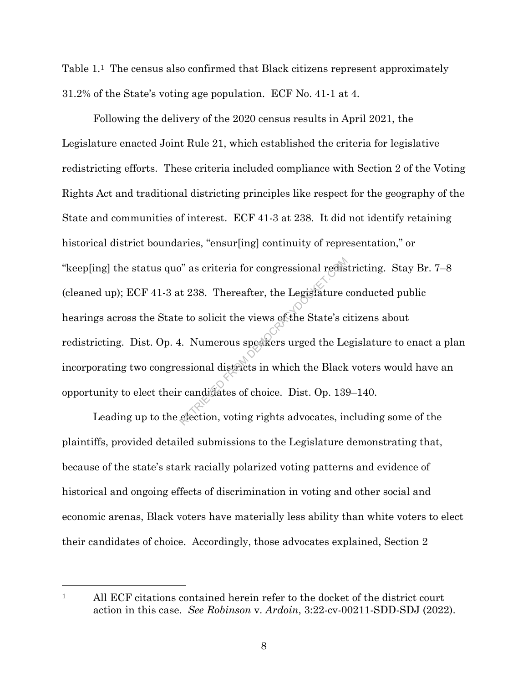Table 1.1 The census also confirmed that Black citizens represent approximately 31.2% of the State's voting age population. ECF No. 41-1 at 4.

Following the delivery of the 2020 census results in April 2021, the Legislature enacted Joint Rule 21, which established the criteria for legislative redistricting efforts. These criteria included compliance with Section 2 of the Voting Rights Act and traditional districting principles like respect for the geography of the State and communities of interest. ECF 41-3 at 238. It did not identify retaining historical district boundaries, "ensur[ing] continuity of representation," or "keep[ing] the status quo" as criteria for congressional redistricting. Stay Br. 7–8 (cleaned up); ECF 41-3 at 238. Thereafter, the Legislature conducted public hearings across the State to solicit the views of the State's citizens about redistricting. Dist. Op. 4. Numerous speakers urged the Legislature to enact a plan incorporating two congressional districts in which the Black voters would have an opportunity to elect their candidates of choice. Dist. Op. 139–140.  $\alpha$ <sup>2</sup> as criteria for congressional redistive to solicit the views of the State's c<br>to solicit the views of the State's c<br>1. Numerous speakers urged the Le<br>ssional districts in which the Black<br>candidates of choice. Dist

Leading up to the election, voting rights advocates, including some of the plaintiffs, provided detailed submissions to the Legislature demonstrating that, because of the state's stark racially polarized voting patterns and evidence of historical and ongoing effects of discrimination in voting and other social and economic arenas, Black voters have materially less ability than white voters to elect their candidates of choice. Accordingly, those advocates explained, Section 2

<sup>1</sup> All ECF citations contained herein refer to the docket of the district court action in this case. *See Robinson* v. *Ardoin*, 3:22-cv-00211-SDD-SDJ (2022).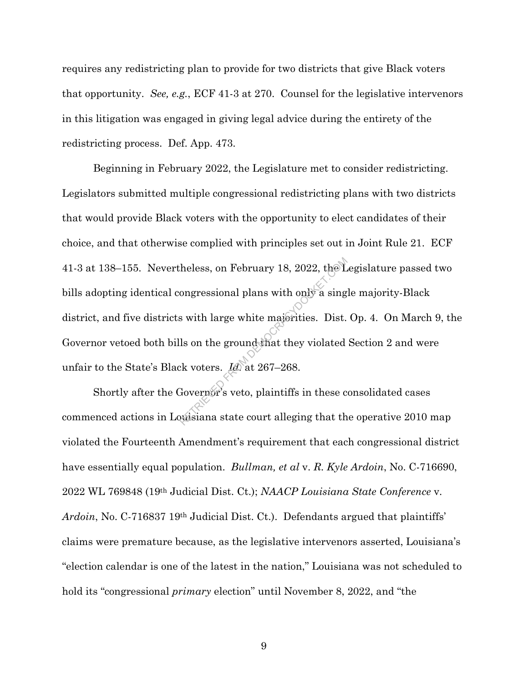requires any redistricting plan to provide for two districts that give Black voters that opportunity. *See, e.g.*, ECF 41-3 at 270. Counsel for the legislative intervenors in this litigation was engaged in giving legal advice during the entirety of the redistricting process. Def. App. 473.

Beginning in February 2022, the Legislature met to consider redistricting. Legislators submitted multiple congressional redistricting plans with two districts that would provide Black voters with the opportunity to elect candidates of their choice, and that otherwise complied with principles set out in Joint Rule 21. ECF 41-3 at 138–155. Nevertheless, on February 18, 2022, the Legislature passed two bills adopting identical congressional plans with only a single majority-Black district, and five districts with large white majorities. Dist. Op. 4. On March 9, the Governor vetoed both bills on the ground that they violated Section 2 and were unfair to the State's Black voters. *Id.* at 267–268. heless, on February 18, 2022, the L<br>ongressional plans with only a sing<br>s with large white majerities. Dist.<br>ls on the ground that they violated<br>ck voters.  $\underline{Id}$  at 267–268.<br>Governor's veto, plaintiffs in these consist

Shortly after the Governor's veto, plaintiffs in these consolidated cases commenced actions in Louisiana state court alleging that the operative 2010 map violated the Fourteenth Amendment's requirement that each congressional district have essentially equal population. *Bullman, et al* v. *R. Kyle Ardoin*, No. C-716690, 2022 WL 769848 (19th Judicial Dist. Ct.); *NAACP Louisiana State Conference* v. *Ardoin*, No. C-716837 19th Judicial Dist. Ct.). Defendants argued that plaintiffs' claims were premature because, as the legislative intervenors asserted, Louisiana's "election calendar is one of the latest in the nation," Louisiana was not scheduled to hold its "congressional *primary* election" until November 8, 2022, and "the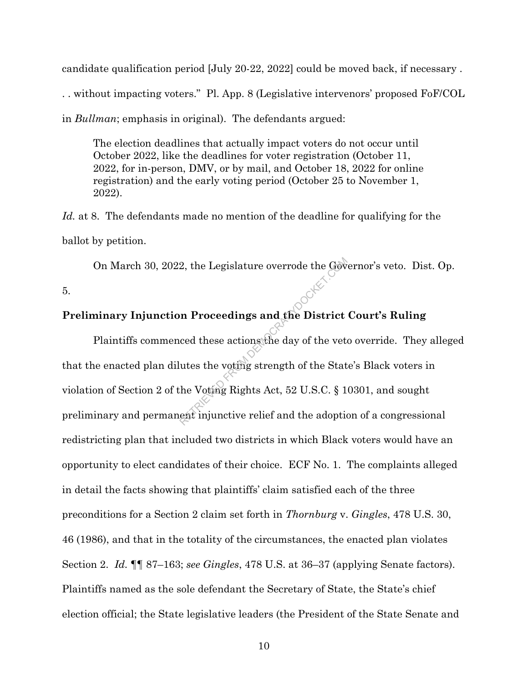candidate qualification period [July 20-22, 2022] could be moved back, if necessary .

. . without impacting voters." Pl. App. 8 (Legislative intervenors' proposed FoF/COL

in *Bullman*; emphasis in original). The defendants argued:

The election deadlines that actually impact voters do not occur until October 2022, like the deadlines for voter registration (October 11, 2022, for in-person, DMV, or by mail, and October 18, 2022 for online registration) and the early voting period (October 25 to November 1, 2022).

*Id.* at 8. The defendants made no mention of the deadline for qualifying for the ballot by petition.

On March 30, 2022, the Legislature overrode the Governor's veto. Dist. Op.

5.

#### **Preliminary Injunction Proceedings and the District Court's Ruling**

Plaintiffs commenced these actions the day of the veto override. They alleged that the enacted plan dilutes the voting strength of the State's Black voters in violation of Section 2 of the Voting Rights Act, 52 U.S.C. § 10301, and sought preliminary and permanent injunctive relief and the adoption of a congressional redistricting plan that included two districts in which Black voters would have an opportunity to elect candidates of their choice. ECF No. 1. The complaints alleged in detail the facts showing that plaintiffs' claim satisfied each of the three preconditions for a Section 2 claim set forth in *Thornburg* v. *Gingles*, 478 U.S. 30, 46 (1986), and that in the totality of the circumstances, the enacted plan violates Section 2. *Id.* ¶¶ 87–163; *see Gingles*, 478 U.S. at 36–37 (applying Senate factors). Plaintiffs named as the sole defendant the Secretary of State, the State's chief election official; the State legislative leaders (the President of the State Senate and 2, the Legislature overrode the Governode the Governode the Governode the Governode Section Proceedings and the District ced these actions the day of the veta utes the voting strength of the State Noting Rights Act, 52 U.S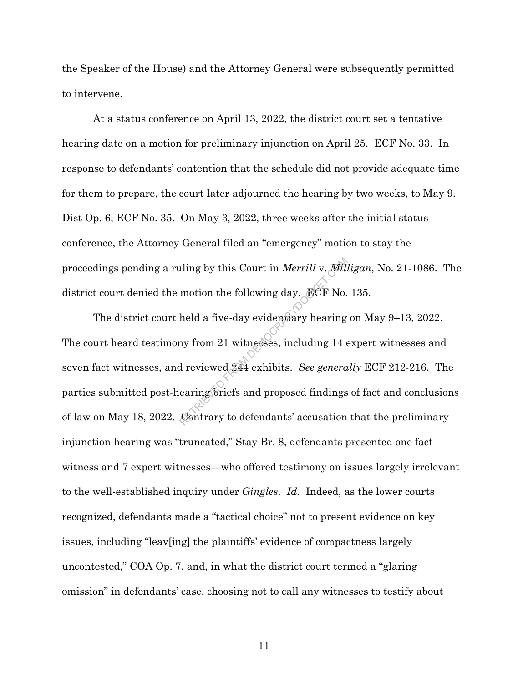the Speaker of the House) and the Attorney General were subsequently permitted to intervene.

At a status conference on April 13, 2022, the district court set a tentative hearing date on a motion for preliminary injunction on April 25. ECF No. 33. In response to defendants' contention that the schedule did not provide adequate time for them to prepare, the court later adjourned the hearing by two weeks, to May 9. Dist Op. 6; ECF No. 35. On May 3, 2022, three weeks after the initial status conference, the Attorney General filed an "emergency" motion to stay the proceedings pending a ruling by this Court in *Merrill* v. *Milligan*, No. 21-1086. The district court denied the motion the following day. ECF No. 135.

The district court held a five-day evidentiary hearing on May 9-13, 2022. The court heard testimony from 21 witnesses, including 14 expert witnesses and seven fact witnesses, and reviewed 244 exhibits. *See generally* ECF 212-216. The parties submitted post-hearing briefs and proposed findings of fact and conclusions of law on May 18, 2022. Contrary to defendants' accusation that the preliminary injunction hearing was "truncated," Stay Br. 8, defendants presented one fact witness and 7 expert witnesses—who offered testimony on issues largely irrelevant to the well-established inquiry under *Gingles*. *Id.* Indeed, as the lower courts recognized, defendants made a "tactical choice" not to present evidence on key issues, including "leav[ing] the plaintiffs' evidence of compactness largely uncontested," COA Op. 7, and, in what the district court termed a "glaring omission" in defendants' case, choosing not to call any witnesses to testify about uling by this Court in *Merrill v. Mill*<br>motion the following day. ECF No.<br>held a five-day evidensiary hearing<br>ny from 21 witnesses, including 14 d<br>d reviewed 244 exhibits. *See genera*<br>earing briefs and proposed findings<br>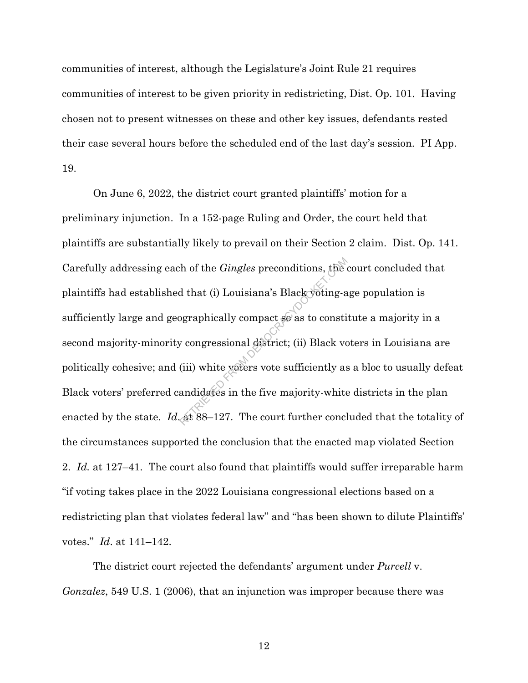communities of interest, although the Legislature's Joint Rule 21 requires communities of interest to be given priority in redistricting, Dist. Op. 101. Having chosen not to present witnesses on these and other key issues, defendants rested their case several hours before the scheduled end of the last day's session. PI App. 19.

On June 6, 2022, the district court granted plaintiffs' motion for a preliminary injunction. In a 152-page Ruling and Order, the court held that plaintiffs are substantially likely to prevail on their Section 2 claim. Dist. Op. 141. Carefully addressing each of the *Gingles* preconditions, the court concluded that plaintiffs had established that (i) Louisiana's Black voting-age population is sufficiently large and geographically compact so as to constitute a majority in a second majority-minority congressional district; (ii) Black voters in Louisiana are politically cohesive; and (iii) white voters vote sufficiently as a bloc to usually defeat Black voters' preferred candidates in the five majority-white districts in the plan enacted by the state. *Id.* at 88–127. The court further concluded that the totality of the circumstances supported the conclusion that the enacted map violated Section 2. *Id.* at 127–41. The court also found that plaintiffs would suffer irreparable harm "if voting takes place in the 2022 Louisiana congressional elections based on a redistricting plan that violates federal law" and "has been shown to dilute Plaintiffs' votes." *Id*. at 141–142. The of the *Gingles* preconditions, the<br>d that (i) Louisiana's Black voting-a<br>ographically compact so as to consti<br>y congressional district; (ii) Black vo<br>(iii) white voters vote sufficiently as<br>andidates in the five major

The district court rejected the defendants' argument under *Purcell* v. *Gonzalez*, 549 U.S. 1 (2006), that an injunction was improper because there was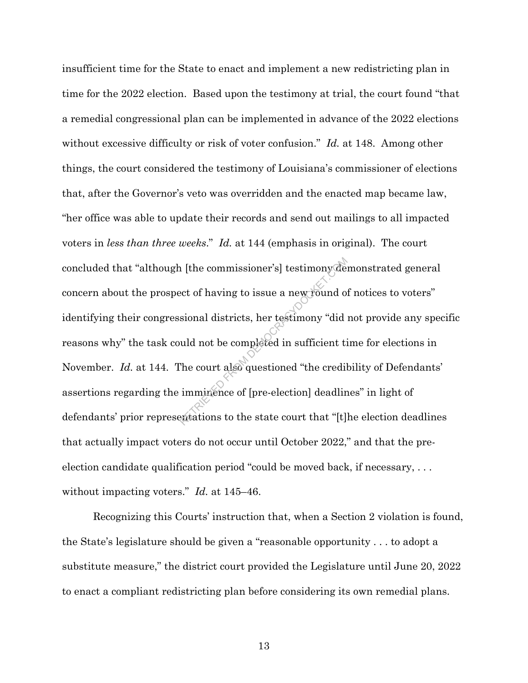insufficient time for the State to enact and implement a new redistricting plan in time for the 2022 election. Based upon the testimony at trial, the court found "that a remedial congressional plan can be implemented in advance of the 2022 elections without excessive difficulty or risk of voter confusion." *Id.* at 148. Among other things, the court considered the testimony of Louisiana's commissioner of elections that, after the Governor's veto was overridden and the enacted map became law, "her office was able to update their records and send out mailings to all impacted voters in *less than three weeks*." *Id.* at 144 (emphasis in original). The court concluded that "although [the commissioner's] testimony demonstrated general concern about the prospect of having to issue a new round of notices to voters" identifying their congressional districts, her testimony "did not provide any specific reasons why" the task could not be completed in sufficient time for elections in November. *Id.* at 144. The court also questioned "the credibility of Defendants' assertions regarding the imminence of [pre-election] deadlines" in light of defendants' prior representations to the state court that "[t]he election deadlines that actually impact voters do not occur until October 2022," and that the preelection candidate qualification period "could be moved back, if necessary, . . . without impacting voters." *Id.* at 145–46. The commissioner's] testimony defect of having to issue a new round of<br>sional districts, her testimony "dide"<br>uld not be completed in sufficient ti<br>The court also questioned "the credil"<br>imminence of [pre-election] deadlin

Recognizing this Courts' instruction that, when a Section 2 violation is found, the State's legislature should be given a "reasonable opportunity . . . to adopt a substitute measure," the district court provided the Legislature until June 20, 2022 to enact a compliant redistricting plan before considering its own remedial plans.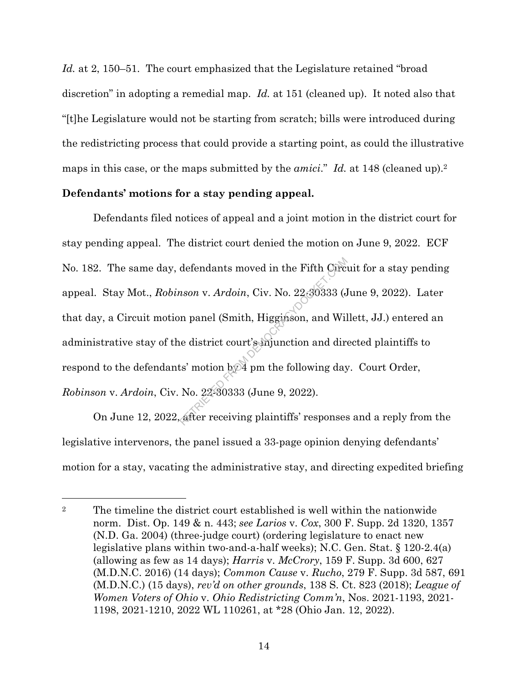*Id.* at 2, 150–51. The court emphasized that the Legislature retained "broad" discretion" in adopting a remedial map. *Id.* at 151 (cleaned up). It noted also that "[t]he Legislature would not be starting from scratch; bills were introduced during the redistricting process that could provide a starting point, as could the illustrative maps in this case, or the maps submitted by the *amici*." *Id.* at 148 (cleaned up).2

#### **Defendants' motions for a stay pending appeal.**

Defendants filed notices of appeal and a joint motion in the district court for stay pending appeal. The district court denied the motion on June 9, 2022. ECF No. 182. The same day, defendants moved in the Fifth Circuit for a stay pending appeal. Stay Mot., *Robinson* v. *Ardoin*, Civ. No. 22-30333 (June 9, 2022). Later that day, a Circuit motion panel (Smith, Higginson, and Willett, JJ.) entered an administrative stay of the district court's injunction and directed plaintiffs to respond to the defendants' motion by 4 pm the following day. Court Order, *Robinson* v. *Ardoin*, Civ. No. 22-30333 (June 9, 2022). defendants moved in the Fifth Circ<br>
nson v. Ardoin, Civ. No. 22-30333 (J<br>
n panel (Smith, Higginson, and Wil<br>
ie district court's injunction and directs' motion by 4 pm the following day<br>
No. 22-30333 (June 9, 2022).<br>
afte

On June 12, 2022, after receiving plaintiffs' responses and a reply from the legislative intervenors, the panel issued a 33-page opinion denying defendants' motion for a stay, vacating the administrative stay, and directing expedited briefing

<sup>&</sup>lt;sup>2</sup> The timeline the district court established is well within the nationwide norm. Dist. Op. 149 & n. 443; *see Larios* v. *Cox*, 300 F. Supp. 2d 1320, 1357 (N.D. Ga. 2004) (three-judge court) (ordering legislature to enact new legislative plans within two-and-a-half weeks); N.C. Gen. Stat. § 120-2.4(a) (allowing as few as 14 days); *Harris* v. *McCrory*, 159 F. Supp. 3d 600, 627 (M.D.N.C. 2016) (14 days); *Common Cause* v. *Rucho*, 279 F. Supp. 3d 587, 691 (M.D.N.C.) (15 days), *rev'd on other grounds*, 138 S. Ct. 823 (2018); *League of Women Voters of Ohio* v. *Ohio Redistricting Comm'n*, Nos. 2021-1193, 2021- 1198, 2021-1210, 2022 WL 110261, at \*28 (Ohio Jan. 12, 2022).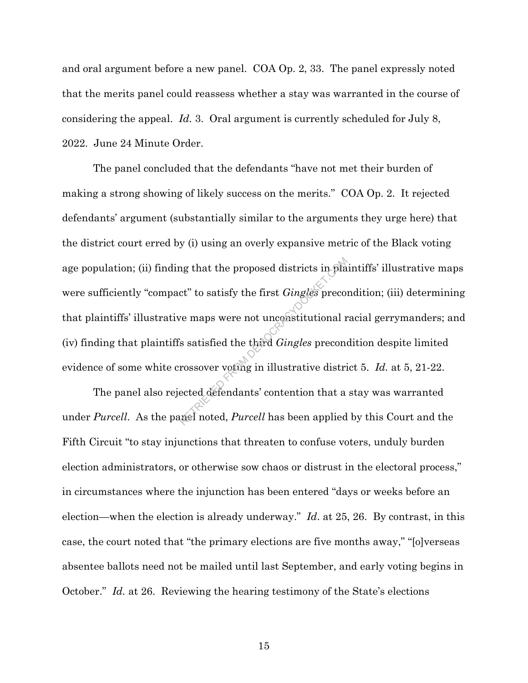and oral argument before a new panel. COA Op. 2, 33. The panel expressly noted that the merits panel could reassess whether a stay was warranted in the course of considering the appeal. *Id.* 3. Oral argument is currently scheduled for July 8, 2022. June 24 Minute Order.

The panel concluded that the defendants "have not met their burden of making a strong showing of likely success on the merits." COA Op. 2. It rejected defendants' argument (substantially similar to the arguments they urge here) that the district court erred by (i) using an overly expansive metric of the Black voting age population; (ii) finding that the proposed districts in plaintiffs' illustrative maps were sufficiently "compact" to satisfy the first *Gingles* precondition; (iii) determining that plaintiffs' illustrative maps were not unconstitutional racial gerrymanders; and (iv) finding that plaintiffs satisfied the third *Gingles* precondition despite limited evidence of some white crossover voting in illustrative district 5. *Id.* at 5, 21-22. ng that the proposed districts in planet" to satisfy the first *Gingles* precompression of the first *Gingles* precompression is satisfied the third *Gingles* precompressed the third *Gingles* precompressed the third *Ging* 

The panel also rejected defendants' contention that a stay was warranted under *Purcell*. As the panel noted, *Purcell* has been applied by this Court and the Fifth Circuit "to stay injunctions that threaten to confuse voters, unduly burden election administrators, or otherwise sow chaos or distrust in the electoral process," in circumstances where the injunction has been entered "days or weeks before an election—when the election is already underway." *Id*. at 25, 26. By contrast, in this case, the court noted that "the primary elections are five months away," "[o]verseas absentee ballots need not be mailed until last September, and early voting begins in October." *Id.* at 26. Reviewing the hearing testimony of the State's elections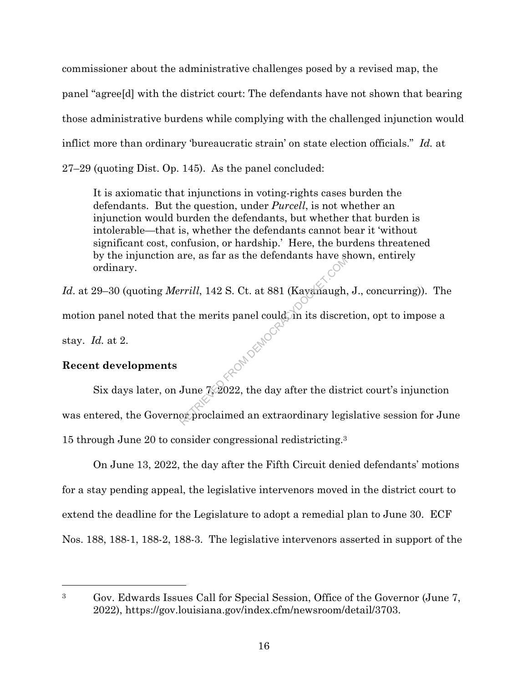commissioner about the administrative challenges posed by a revised map, the panel "agree[d] with the district court: The defendants have not shown that bearing those administrative burdens while complying with the challenged injunction would inflict more than ordinary 'bureaucratic strain' on state election officials." *Id.* at 27–29 (quoting Dist. Op. 145). As the panel concluded:

It is axiomatic that injunctions in voting-rights cases burden the defendants. But the question, under *Purcell*, is not whether an injunction would burden the defendants, but whether that burden is intolerable—that is, whether the defendants cannot bear it 'without significant cost, confusion, or hardship.' Here, the burdens threatened by the injunction are, as far as the defendants have shown, entirely ordinary.

*Id*. at 29–30 (quoting *Merrill*, 142 S. Ct. at 881 (Kavanaugh, J., concurring)). The motion panel noted that the merits panel could, in its discretion, opt to impose a stay. *Id.* at 2. **REOM DEMOC** 

# **Recent developments**

Six days later, on June  $\frac{7}{2022}$ , the day after the district court's injunction was entered, the Governor proclaimed an extraordinary legislative session for June 15 through June 20 to consider congressional redistricting.3

On June 13, 2022, the day after the Fifth Circuit denied defendants' motions for a stay pending appeal, the legislative intervenors moved in the district court to extend the deadline for the Legislature to adopt a remedial plan to June 30. ECF Nos. 188, 188-1, 188-2, 188-3. The legislative intervenors asserted in support of the

<sup>3</sup> Gov. Edwards Issues Call for Special Session, Office of the Governor (June 7, 2022), https://gov.louisiana.gov/index.cfm/newsroom/detail/3703.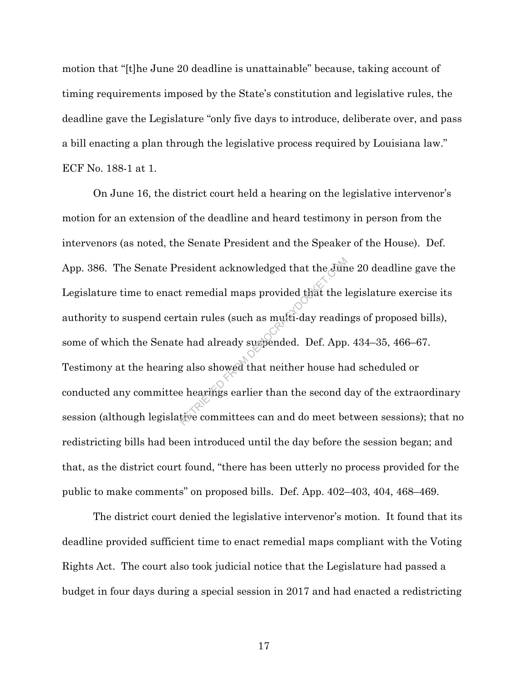motion that "[t]he June 20 deadline is unattainable" because, taking account of timing requirements imposed by the State's constitution and legislative rules, the deadline gave the Legislature "only five days to introduce, deliberate over, and pass a bill enacting a plan through the legislative process required by Louisiana law." ECF No. 188-1 at 1.

On June 16, the district court held a hearing on the legislative intervenor's motion for an extension of the deadline and heard testimony in person from the intervenors (as noted, the Senate President and the Speaker of the House). Def. App. 386. The Senate President acknowledged that the June 20 deadline gave the Legislature time to enact remedial maps provided that the legislature exercise its authority to suspend certain rules (such as multi-day readings of proposed bills), some of which the Senate had already suspended. Def. App. 434–35, 466–67. Testimony at the hearing also showed that neither house had scheduled or conducted any committee hearings earlier than the second day of the extraordinary session (although legislative committees can and do meet between sessions); that no redistricting bills had been introduced until the day before the session began; and that, as the district court found, "there has been utterly no process provided for the public to make comments" on proposed bills. Def. App. 402–403, 404, 468–469. resident acknowledged that the Jun<br>t remedial maps provided that the l<br>tain rules (such as multi-day readir<br>e had already suspended. Def. App<br>g also showed that neither house has<br>e hearings earlier than the second d<br>tive c

The district court denied the legislative intervenor's motion. It found that its deadline provided sufficient time to enact remedial maps compliant with the Voting Rights Act. The court also took judicial notice that the Legislature had passed a budget in four days during a special session in 2017 and had enacted a redistricting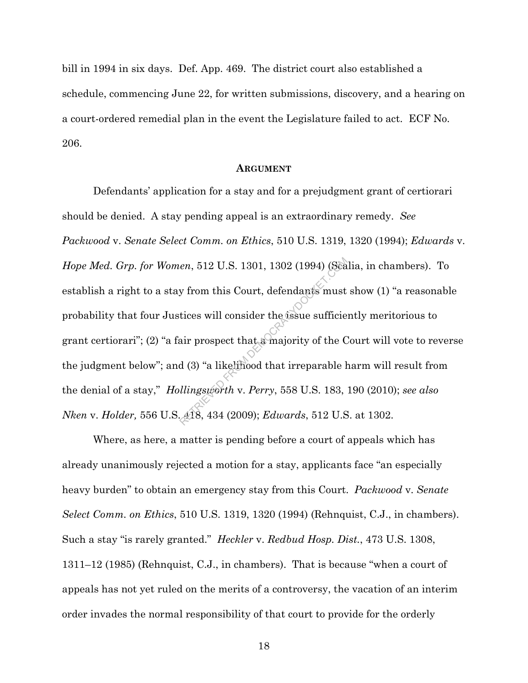bill in 1994 in six days. Def. App. 469. The district court also established a schedule, commencing June 22, for written submissions, discovery, and a hearing on a court-ordered remedial plan in the event the Legislature failed to act. ECF No. 206.

#### **ARGUMENT**

Defendants' application for a stay and for a prejudgment grant of certiorari should be denied. A stay pending appeal is an extraordinary remedy. *See Packwood* v. *Senate Select Comm. on Ethics*, 510 U.S. 1319, 1320 (1994); *Edwards* v. *Hope Med. Grp. for Women*, 512 U.S. 1301, 1302 (1994) (Scalia, in chambers). To establish a right to a stay from this Court, defendants must show (1) "a reasonable probability that four Justices will consider the issue sufficiently meritorious to grant certiorari"; (2) "a fair prospect that a majority of the Court will vote to reverse the judgment below"; and (3) "a likelihood that irreparable harm will result from the denial of a stay," *Hollingsworth* v. *Perry*, 558 U.S. 183, 190 (2010); *see also Nken* v. *Holder,* 556 U.S. 418, 434 (2009); *Edwards*, 512 U.S. at 1302. *en*, 512 U.S. 1301, 1302 (1994) (Sea<br>y from this Court, defendants must<br>tices will consider the issue sufficie<br>air prospect that a majority of the C<br>d (3) "a likelihood that irreparable l<br>*llingsworth v. Perry*, 558 U.S.

Where, as here, a matter is pending before a court of appeals which has already unanimously rejected a motion for a stay, applicants face "an especially heavy burden" to obtain an emergency stay from this Court. *Packwood* v. *Senate Select Comm. on Ethics*, 510 U.S. 1319, 1320 (1994) (Rehnquist, C.J., in chambers). Such a stay "is rarely granted." *Heckler* v. *Redbud Hosp. Dist.*, 473 U.S. 1308, 1311–12 (1985) (Rehnquist, C.J., in chambers). That is because "when a court of appeals has not yet ruled on the merits of a controversy, the vacation of an interim order invades the normal responsibility of that court to provide for the orderly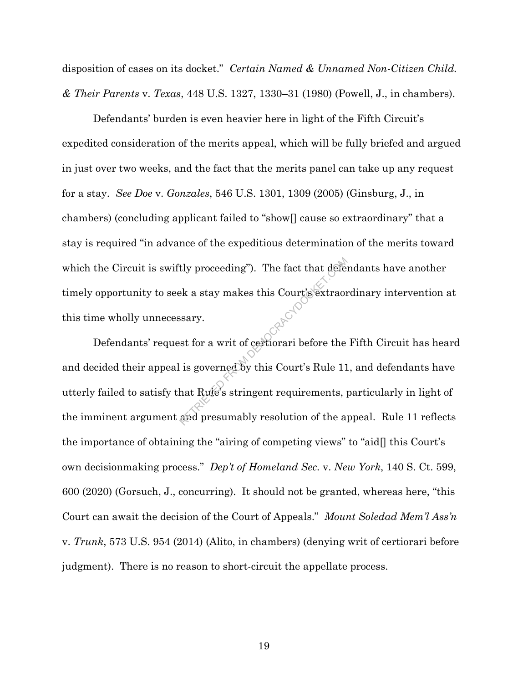disposition of cases on its docket." *Certain Named & Unnamed Non-Citizen Child. & Their Parents* v. *Texas*, 448 U.S. 1327, 1330–31 (1980) (Powell, J., in chambers).

Defendants' burden is even heavier here in light of the Fifth Circuit's expedited consideration of the merits appeal, which will be fully briefed and argued in just over two weeks, and the fact that the merits panel can take up any request for a stay. *See Doe* v. *Gonzales*, 546 U.S. 1301, 1309 (2005) (Ginsburg, J., in chambers) (concluding applicant failed to "show[] cause so extraordinary" that a stay is required "in advance of the expeditious determination of the merits toward which the Circuit is swiftly proceeding"). The fact that defendants have another timely opportunity to seek a stay makes this Court's extraordinary intervention at this time wholly unnecessary.

Defendants' request for a writ of certiorari before the Fifth Circuit has heard and decided their appeal is governed by this Court's Rule 11, and defendants have utterly failed to satisfy that Rule's stringent requirements, particularly in light of the imminent argument and presumably resolution of the appeal. Rule 11 reflects the importance of obtaining the "airing of competing views" to "aid[] this Court's own decisionmaking process." *Dep't of Homeland Sec.* v. *New York*, 140 S. Ct. 599, 600 (2020) (Gorsuch, J., concurring). It should not be granted, whereas here, "this Court can await the decision of the Court of Appeals." *Mount Soledad Mem'l Ass'n*  v. *Trunk*, 573 U.S. 954 (2014) (Alito, in chambers) (denying writ of certiorari before judgment). There is no reason to short-circuit the appellate process. tly proceeding"). The fact that deference<br>Bek a stay makes this Court's extraor<br>ssary.<br>st for a writ of certiorari before the<br>is governed by this Court's Rule 11<br>hat Rule's stringent requirements, paid presumably resolutio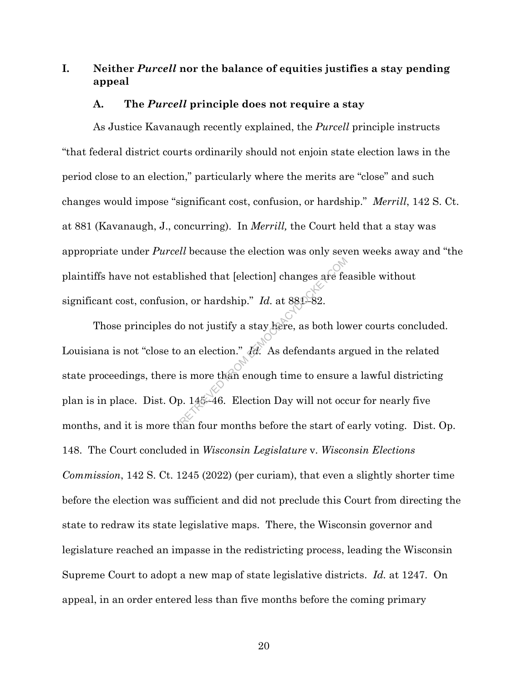# **I. Neither** *Purcell* **nor the balance of equities justifies a stay pending appeal**

#### **A. The** *Purcell* **principle does not require a stay**

As Justice Kavanaugh recently explained, the *Purcell* principle instructs "that federal district courts ordinarily should not enjoin state election laws in the period close to an election," particularly where the merits are "close" and such changes would impose "significant cost, confusion, or hardship." *Merrill*, 142 S. Ct. at 881 (Kavanaugh, J., concurring). In *Merrill,* the Court held that a stay was appropriate under *Purcell* because the election was only seven weeks away and "the plaintiffs have not established that [election] changes are feasible without significant cost, confusion, or hardship." *Id.* at 880-82.

Those principles do not justify a stay here, as both lower courts concluded. Louisiana is not "close to an election." *Id.* As defendants argued in the related state proceedings, there is more than enough time to ensure a lawful districting plan is in place. Dist. Op. 145–46. Election Day will not occur for nearly five months, and it is more than four months before the start of early voting. Dist. Op. 148. The Court concluded in *Wisconsin Legislature* v. *Wisconsin Elections Commission*, 142 S. Ct. 1245 (2022) (per curiam), that even a slightly shorter time before the election was sufficient and did not preclude this Court from directing the state to redraw its state legislative maps. There, the Wisconsin governor and legislature reached an impasse in the redistricting process, leading the Wisconsin Supreme Court to adopt a new map of state legislative districts. *Id.* at 1247. On appeal, in an order entered less than five months before the coming primary lished that [election] changes are fe<br>
n, or hardship." Id. at 880–82.<br>
o not justify a stay kere, as both lov<br>
o an election." Id. As defendants are<br>
is more than enough time to ensure<br>
2. 145–46. Election Day will not o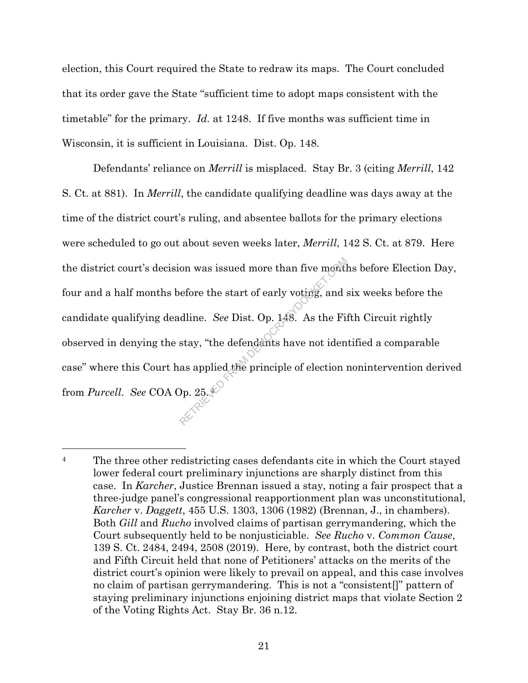election, this Court required the State to redraw its maps. The Court concluded that its order gave the State "sufficient time to adopt maps consistent with the timetable" for the primary. *Id.* at 1248. If five months was sufficient time in Wisconsin, it is sufficient in Louisiana. Dist. Op. 148.

Defendants' reliance on *Merrill* is misplaced. Stay Br. 3 (citing *Merrill*, 142 S. Ct. at 881). In *Merrill*, the candidate qualifying deadline was days away at the time of the district court's ruling, and absentee ballots for the primary elections were scheduled to go out about seven weeks later, *Merrill*, 142 S. Ct. at 879. Here the district court's decision was issued more than five months before Election Day, four and a half months before the start of early voting, and six weeks before the candidate qualifying deadline. *See* Dist. Op. 148. As the Fifth Circuit rightly observed in denying the stay, "the defendants have not identified a comparable case" where this Court has applied the principle of election nonintervention derived from *Purcell*. *See* COA Op. 25. 4 on was issued more than five month<br>efore the start of early voting, and s<br>dline. See Dist. Op. 148. As the Fit<br>stay, "the defendants have not iden<br>as applied the principle of election i<br> $\rho_p$ . 25.

<sup>&</sup>lt;sup>4</sup> The three other redistricting cases defendants cite in which the Court stayed lower federal court preliminary injunctions are sharply distinct from this case. In *Karcher*, Justice Brennan issued a stay, noting a fair prospect that a three-judge panel's congressional reapportionment plan was unconstitutional, *Karcher* v. *Daggett*, 455 U.S. 1303, 1306 (1982) (Brennan, J., in chambers). Both *Gill* and *Rucho* involved claims of partisan gerrymandering, which the Court subsequently held to be nonjusticiable. *See Rucho* v. *Common Cause*, 139 S. Ct. 2484, 2494, 2508 (2019). Here, by contrast, both the district court and Fifth Circuit held that none of Petitioners' attacks on the merits of the district court's opinion were likely to prevail on appeal, and this case involves no claim of partisan gerrymandering. This is not a "consistent[]" pattern of staying preliminary injunctions enjoining district maps that violate Section 2 of the Voting Rights Act. Stay Br. 36 n.12.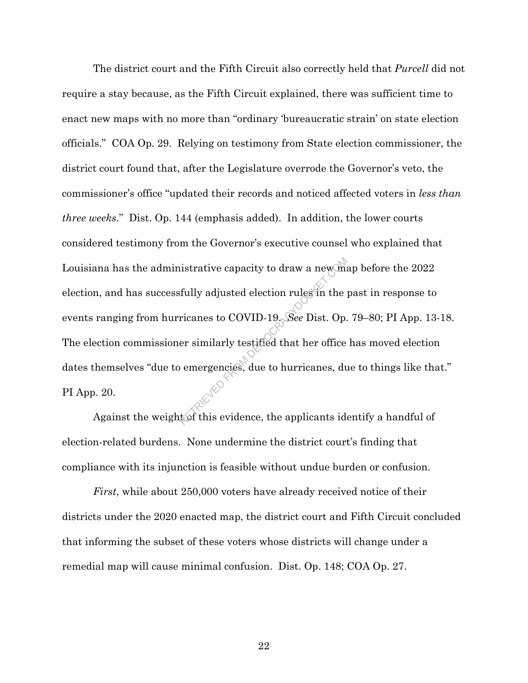The district court and the Fifth Circuit also correctly held that *Purcell* did not require a stay because, as the Fifth Circuit explained, there was sufficient time to enact new maps with no more than "ordinary 'bureaucratic strain' on state election officials." COA Op. 29. Relying on testimony from State election commissioner, the district court found that, after the Legislature overrode the Governor's veto, the commissioner's office "updated their records and noticed affected voters in *less than three weeks*." Dist. Op. 144 (emphasis added). In addition, the lower courts considered testimony from the Governor's executive counsel who explained that Louisiana has the administrative capacity to draw a new map before the 2022 election, and has successfully adjusted election rules in the past in response to events ranging from hurricanes to COVID-19. *See* Dist. Op. 79–80; PI App. 13-18. The election commissioner similarly testified that her office has moved election dates themselves "due to emergencies, due to hurricanes, due to things like that." PI App. 20. istrative capacity to draw a new maintain the set of the set of the pricanes to COVID-19. See Dist. Op.<br>
Fricanes to COVID-19. See Dist. Op.<br>
From the properties of the contract of this evidence, the applicants identified

Against the weight of this evidence, the applicants identify a handful of election-related burdens. None undermine the district court's finding that compliance with its injunction is feasible without undue burden or confusion.

*First*, while about 250,000 voters have already received notice of their districts under the 2020 enacted map, the district court and Fifth Circuit concluded that informing the subset of these voters whose districts will change under a remedial map will cause minimal confusion. Dist. Op. 148; COA Op. 27.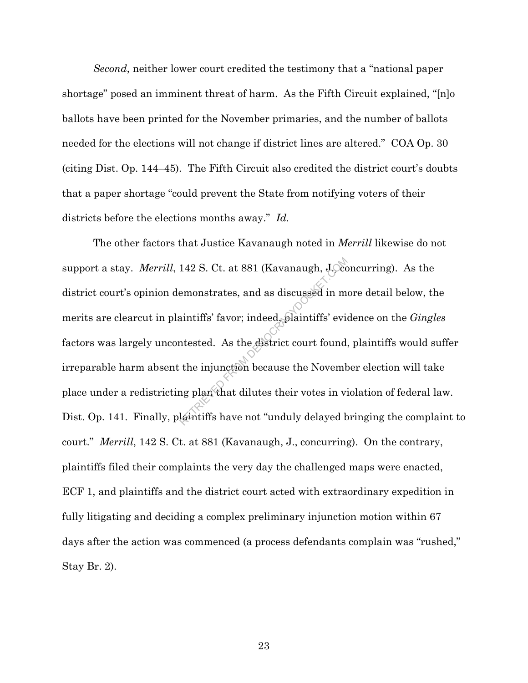*Second*, neither lower court credited the testimony that a "national paper shortage" posed an imminent threat of harm. As the Fifth Circuit explained, "[n]o ballots have been printed for the November primaries, and the number of ballots needed for the elections will not change if district lines are altered." COA Op. 30 (citing Dist. Op. 144–45). The Fifth Circuit also credited the district court's doubts that a paper shortage "could prevent the State from notifying voters of their districts before the elections months away." *Id.*

The other factors that Justice Kavanaugh noted in *Merrill* likewise do not support a stay. *Merrill*, 142 S. Ct. at 881 (Kavanaugh, J., Concurring). As the district court's opinion demonstrates, and as discussed in more detail below, the merits are clearcut in plaintiffs' favor; indeed, plaintiffs' evidence on the *Gingles* factors was largely uncontested. As the district court found, plaintiffs would suffer irreparable harm absent the injunction because the November election will take place under a redistricting plan that dilutes their votes in violation of federal law. Dist. Op. 141. Finally, plaintiffs have not "unduly delayed bringing the complaint to court." *Merrill*, 142 S. Ct. at 881 (Kavanaugh, J., concurring). On the contrary, plaintiffs filed their complaints the very day the challenged maps were enacted, ECF 1, and plaintiffs and the district court acted with extraordinary expedition in fully litigating and deciding a complex preliminary injunction motion within 67 days after the action was commenced (a process defendants complain was "rushed," Stay Br. 2). 142 S. Ct. at 881 (Kavanaugh, J. com<br>
emonstrates, and as discussed in m<br>
aintiffs' favor; indeed, plaintiffs' evident<br>
the injunction because the Novemb<br>
the injunction because the Novemb<br>
ng plan that dilutes their votes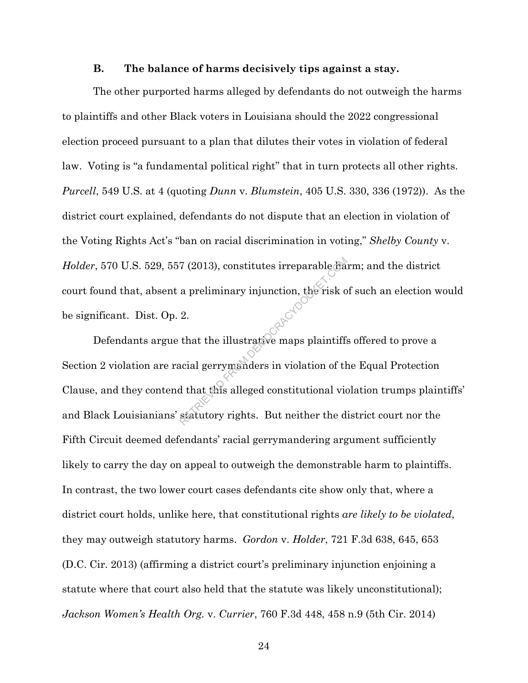#### **B. The balance of harms decisively tips against a stay.**

The other purported harms alleged by defendants do not outweigh the harms to plaintiffs and other Black voters in Louisiana should the 2022 congressional election proceed pursuant to a plan that dilutes their votes in violation of federal law. Voting is "a fundamental political right" that in turn protects all other rights. *Purcell*, 549 U.S. at 4 (quoting *Dunn* v. *Blumstein*, 405 U.S. 330, 336 (1972)). As the district court explained, defendants do not dispute that an election in violation of the Voting Rights Act's "ban on racial discrimination in voting," *Shelby County* v. *Holder*, 570 U.S. 529, 557 (2013), constitutes irreparable harm; and the district court found that, absent a preliminary injunction, the risk of such an election would be significant. Dist. Op. 2. Defendants argue that the illustrative maps plaintiffs offered to prove a

Section 2 violation are racial gerrymanders in violation of the Equal Protection Clause, and they contend that this alleged constitutional violation trumps plaintiffs' and Black Louisianians' statutory rights. But neither the district court nor the Fifth Circuit deemed defendants' racial gerrymandering argument sufficiently likely to carry the day on appeal to outweigh the demonstrable harm to plaintiffs. In contrast, the two lower court cases defendants cite show only that, where a district court holds, unlike here, that constitutional rights *are likely to be violated*, they may outweigh statutory harms. *Gordon* v. *Holder*, 721 F.3d 638, 645, 653 (D.C. Cir. 2013) (affirming a district court's preliminary injunction enjoining a statute where that court also held that the statute was likely unconstitutional); *Jackson Women's Health Org.* v. *Currier*, 760 F.3d 448, 458 n.9 (5th Cir. 2014) FROM 2013), constitutes irreparable that<br>a preliminary injunction, the risk of<br>2.<br>that the illustrative maps plaintiffs<br>acial gerrymanders in violation of the distance of the distance of<br>statutory rights. But neither the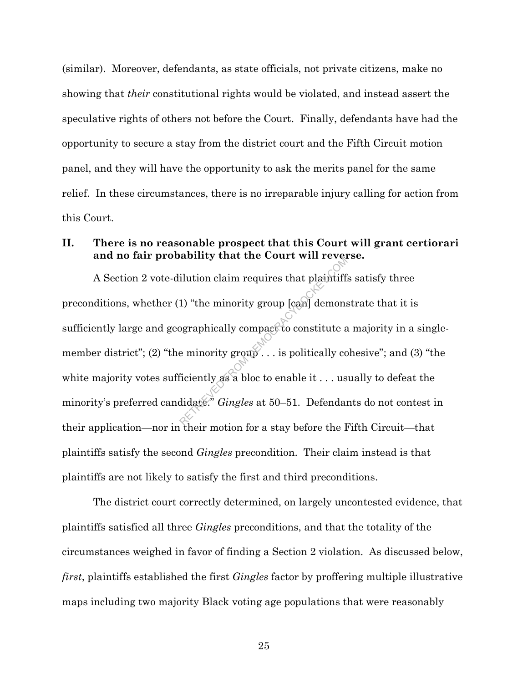(similar). Moreover, defendants, as state officials, not private citizens, make no showing that *their* constitutional rights would be violated, and instead assert the speculative rights of others not before the Court. Finally, defendants have had the opportunity to secure a stay from the district court and the Fifth Circuit motion panel, and they will have the opportunity to ask the merits panel for the same relief. In these circumstances, there is no irreparable injury calling for action from this Court.

# **II. There is no reasonable prospect that this Court will grant certiorari and no fair probability that the Court will reverse.**

A Section 2 vote-dilution claim requires that plaintiffs satisfy three preconditions, whether (1) "the minority group [can] demonstrate that it is sufficiently large and geographically compact to constitute a majority in a singlemember district"; (2) "the minority group". . . is politically cohesive"; and (3) "the white majority votes sufficiently as a bloc to enable it . . . usually to defeat the minority's preferred candidate." *Gingles* at 50–51. Defendants do not contest in their application—nor in their motion for a stay before the Fifth Circuit—that plaintiffs satisfy the second *Gingles* precondition. Their claim instead is that plaintiffs are not likely to satisfy the first and third preconditions. abilition claim requires that plaintiff.<br>
1) "the minority group [can] demons<br>
ographically compact to constitute a<br>
e minority group... is politically constitute of<br>
ficiently as a bloc to enable it ... us<br>
didate." Gingl

The district court correctly determined, on largely uncontested evidence, that plaintiffs satisfied all three *Gingles* preconditions, and that the totality of the circumstances weighed in favor of finding a Section 2 violation. As discussed below, *first*, plaintiffs established the first *Gingles* factor by proffering multiple illustrative maps including two majority Black voting age populations that were reasonably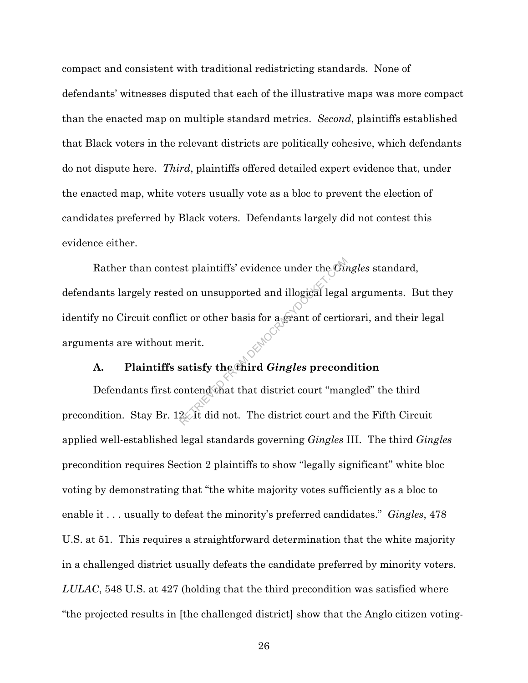compact and consistent with traditional redistricting standards. None of defendants' witnesses disputed that each of the illustrative maps was more compact than the enacted map on multiple standard metrics. *Second*, plaintiffs established that Black voters in the relevant districts are politically cohesive, which defendants do not dispute here. *Third*, plaintiffs offered detailed expert evidence that, under the enacted map, white voters usually vote as a bloc to prevent the election of candidates preferred by Black voters. Defendants largely did not contest this evidence either.

Rather than contest plaintiffs' evidence under the *Gingles* standard, defendants largely rested on unsupported and illogical legal arguments. But they identify no Circuit conflict or other basis for a grant of certiorari, and their legal arguments are without merit. ext plaintiffs' evidence under the *Gu*<br>d on unsupported and illogical legal<br>ct or other basis for a grant of certic<br>merit.<br>satisfy the third *Gingles* precon-<br>ontend that that district court "mar<br>22. It did not. The distr

### **A. Plaintiffs satisfy the third** *Gingles* **precondition**

Defendants first contend that that district court "mangled" the third precondition. Stay Br. 12. It did not. The district court and the Fifth Circuit applied well-established legal standards governing *Gingles* III. The third *Gingles* precondition requires Section 2 plaintiffs to show "legally significant" white bloc voting by demonstrating that "the white majority votes sufficiently as a bloc to enable it . . . usually to defeat the minority's preferred candidates." *Gingles*, 478 U.S. at 51. This requires a straightforward determination that the white majority in a challenged district usually defeats the candidate preferred by minority voters. *LULAC*, 548 U.S. at 427 (holding that the third precondition was satisfied where "the projected results in [the challenged district] show that the Anglo citizen voting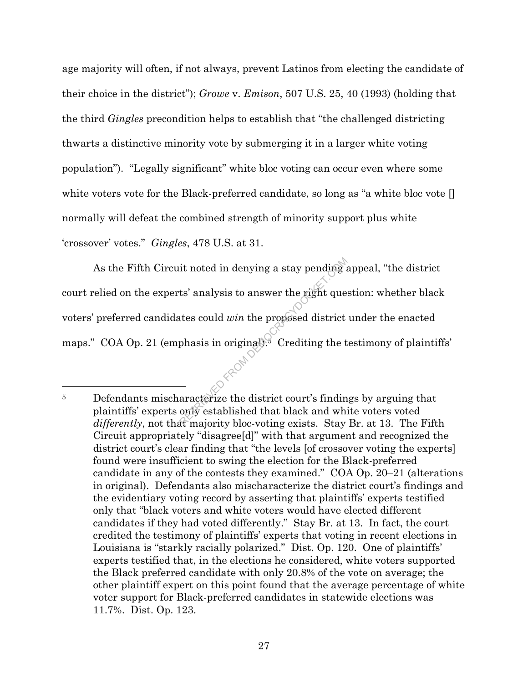age majority will often, if not always, prevent Latinos from electing the candidate of their choice in the district"); *Growe* v. *Emison*, 507 U.S. 25, 40 (1993) (holding that the third *Gingles* precondition helps to establish that "the challenged districting thwarts a distinctive minority vote by submerging it in a larger white voting population"). "Legally significant" white bloc voting can occur even where some white voters vote for the Black-preferred candidate, so long as "a white bloc vote [] normally will defeat the combined strength of minority support plus white 'crossover' votes." *Gingles*, 478 U.S. at 31.

As the Fifth Circuit noted in denying a stay pending appeal, "the district court relied on the experts' analysis to answer the right question: whether black voters' preferred candidates could *win* the proposed district under the enacted maps." COA Op. 21 (emphasis in original).<sup>5</sup> Crediting the testimony of plaintiffs' it noted in denying a stay pending a<br>ts' analysis to answer the right que<br>ttes could win the proposed district<br>phasis in original).<sup>8</sup> Crediting the t<br>aracterize the district court's findin<br>only established that black and

<sup>&</sup>lt;sup>5</sup> Defendants mischaracterize the district court's findings by arguing that plaintiffs' experts only established that black and white voters voted *differently*, not that majority bloc-voting exists. Stay Br. at 13. The Fifth Circuit appropriately "disagree[d]" with that argument and recognized the district court's clear finding that "the levels [of crossover voting the experts] found were insufficient to swing the election for the Black-preferred candidate in any of the contests they examined." COA Op. 20–21 (alterations in original). Defendants also mischaracterize the district court's findings and the evidentiary voting record by asserting that plaintiffs' experts testified only that "black voters and white voters would have elected different candidates if they had voted differently." Stay Br. at 13. In fact, the court credited the testimony of plaintiffs' experts that voting in recent elections in Louisiana is "starkly racially polarized." Dist. Op. 120. One of plaintiffs' experts testified that, in the elections he considered, white voters supported the Black preferred candidate with only 20.8% of the vote on average; the other plaintiff expert on this point found that the average percentage of white voter support for Black-preferred candidates in statewide elections was 11.7%. Dist. Op. 123.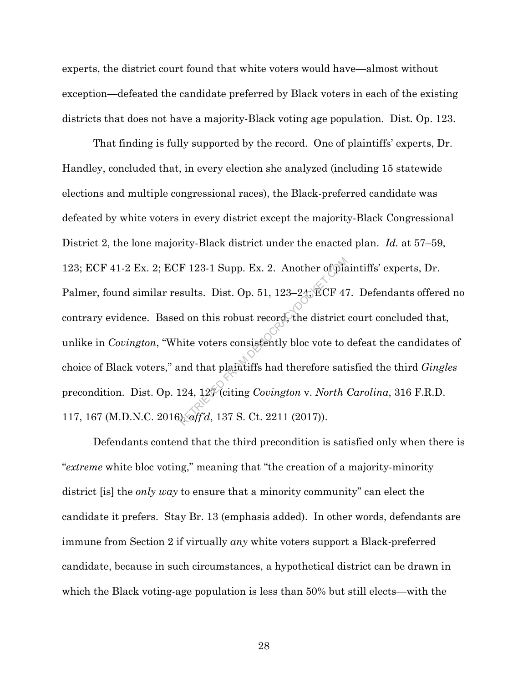experts, the district court found that white voters would have—almost without exception—defeated the candidate preferred by Black voters in each of the existing districts that does not have a majority-Black voting age population. Dist. Op. 123.

That finding is fully supported by the record. One of plaintiffs' experts, Dr. Handley, concluded that, in every election she analyzed (including 15 statewide elections and multiple congressional races), the Black-preferred candidate was defeated by white voters in every district except the majority-Black Congressional District 2, the lone majority-Black district under the enacted plan. *Id.* at 57–59, 123; ECF 41-2 Ex. 2; ECF 123-1 Supp. Ex. 2. Another of plaintiffs' experts, Dr. Palmer, found similar results. Dist. Op. 51, 123–24; ECF 47. Defendants offered no contrary evidence. Based on this robust record, the district court concluded that, unlike in *Covington*, "White voters consistently bloc vote to defeat the candidates of choice of Black voters," and that plaintiffs had therefore satisfied the third *Gingles* precondition. Dist. Op. 124, 127 (citing *Covington* v. *North Carolina*, 316 F.R.D. 117, 167 (M.D.N.C. 2016), *aff'd*, 137 S. Ct. 2211 (2017)). F 123-1 Supp. Ex. 2. Another of planets.<br>
sults. Dist. Op. 51, 123–24; ECF 47<br>
d on this robust record, the district<br>
inte voters consistently bloc vote to<br>
and that plaintiffs had therefore sat<br>
124, 127 (citing *Covingt* 

Defendants contend that the third precondition is satisfied only when there is "*extreme* white bloc voting," meaning that "the creation of a majority-minority district [is] the *only way* to ensure that a minority community" can elect the candidate it prefers. Stay Br. 13 (emphasis added). In other words, defendants are immune from Section 2 if virtually *any* white voters support a Black-preferred candidate, because in such circumstances, a hypothetical district can be drawn in which the Black voting-age population is less than 50% but still elects—with the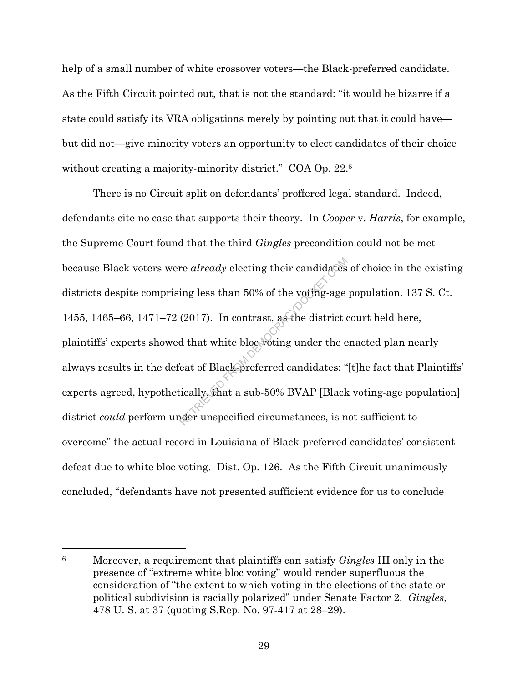help of a small number of white crossover voters—the Black-preferred candidate. As the Fifth Circuit pointed out, that is not the standard: "it would be bizarre if a state could satisfy its VRA obligations merely by pointing out that it could have but did not—give minority voters an opportunity to elect candidates of their choice without creating a majority-minority district." COA Op. 22.<sup>6</sup>

There is no Circuit split on defendants' proffered legal standard. Indeed, defendants cite no case that supports their theory. In *Cooper* v. *Harris*, for example, the Supreme Court found that the third *Gingles* precondition could not be met because Black voters were *already* electing their candidates of choice in the existing districts despite comprising less than 50% of the voting-age population. 137 S. Ct. 1455, 1465–66, 1471–72 (2017). In contrast, as the district court held here, plaintiffs' experts showed that white bloc voting under the enacted plan nearly always results in the defeat of Black-preferred candidates; "[t]he fact that Plaintiffs' experts agreed, hypothetically, that a sub-50% BVAP [Black voting-age population] district *could* perform under unspecified circumstances, is not sufficient to overcome" the actual record in Louisiana of Black-preferred candidates' consistent defeat due to white bloc voting. Dist. Op. 126. As the Fifth Circuit unanimously concluded, "defendants have not presented sufficient evidence for us to conclude re *already* electing their candidates<br>ing less than 50% of the voting-age<br>(2017). In contrast, as the district of<br>d that white bloc voting under the e<br>eat of Black-preferred candidates; "<br>ically, that a sub-50% BVAP [Blac

<sup>6</sup> Moreover, a requirement that plaintiffs can satisfy *Gingles* III only in the presence of "extreme white bloc voting" would render superfluous the consideration of "the extent to which voting in the elections of the state or political subdivision is racially polarized" under Senate Factor 2. *Gingles*, 478 U. S. at 37 (quoting S.Rep. No. 97-417 at 28–29).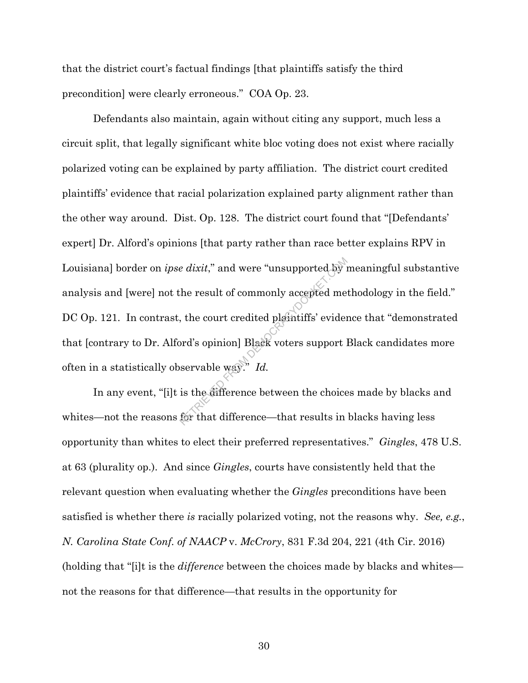that the district court's factual findings [that plaintiffs satisfy the third precondition] were clearly erroneous." COA Op. 23.

Defendants also maintain, again without citing any support, much less a circuit split, that legally significant white bloc voting does not exist where racially polarized voting can be explained by party affiliation. The district court credited plaintiffs' evidence that racial polarization explained party alignment rather than the other way around. Dist. Op. 128. The district court found that "[Defendants' expert] Dr. Alford's opinions [that party rather than race better explains RPV in Louisiana] border on *ipse dixit*," and were "unsupported by meaningful substantive analysis and [were] not the result of commonly accepted methodology in the field." DC Op. 121. In contrast, the court credited plaintiffs' evidence that "demonstrated that [contrary to Dr. Alford's opinion] Black voters support Black candidates more often in a statistically observable way." *Id. e dixit,*" and were "unsupported by"<br>
the result of commonly accepted me<br>
, the court credited plaintiffs' evident<br>
ord's opinion] Black voters support l<br>
servable way." Id.<br>
is the difference between the choice<br>
for that

In any event, "[i]t is the difference between the choices made by blacks and whites—not the reasons for that difference—that results in blacks having less opportunity than whites to elect their preferred representatives." *Gingles*, 478 U.S. at 63 (plurality op.). And since *Gingles*, courts have consistently held that the relevant question when evaluating whether the *Gingles* preconditions have been satisfied is whether there *is* racially polarized voting, not the reasons why. *See, e.g.*, *N. Carolina State Conf. of NAACP* v. *McCrory*, 831 F.3d 204, 221 (4th Cir. 2016) (holding that "[i]t is the *difference* between the choices made by blacks and whites not the reasons for that difference—that results in the opportunity for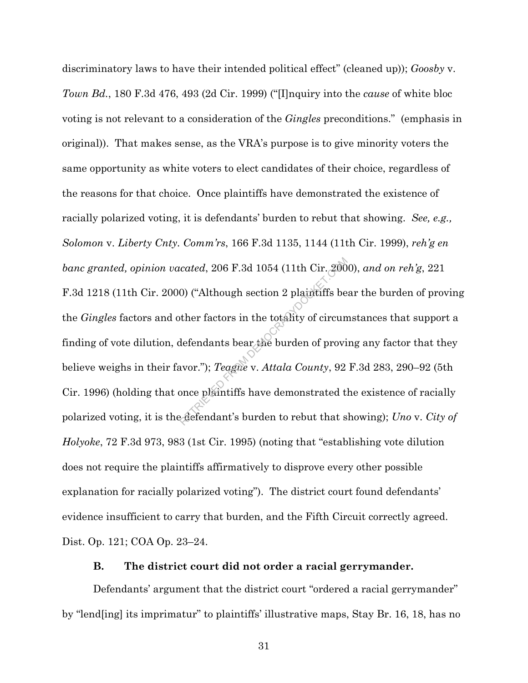discriminatory laws to have their intended political effect" (cleaned up)); *Goosby* v. *Town Bd.*, 180 F.3d 476, 493 (2d Cir. 1999) ("[I]nquiry into the *cause* of white bloc voting is not relevant to a consideration of the *Gingles* preconditions." (emphasis in original)). That makes sense, as the VRA's purpose is to give minority voters the same opportunity as white voters to elect candidates of their choice, regardless of the reasons for that choice. Once plaintiffs have demonstrated the existence of racially polarized voting, it is defendants' burden to rebut that showing. *See, e.g., Solomon* v. *Liberty Cnty. Comm'rs*, 166 F.3d 1135, 1144 (11th Cir. 1999), *reh'g en banc granted, opinion vacated*, 206 F.3d 1054 (11th Cir. 2000), *and on reh'g*, 221 F.3d 1218 (11th Cir. 2000) ("Although section 2 plaintiffs bear the burden of proving the *Gingles* factors and other factors in the totality of circumstances that support a finding of vote dilution, defendants bear the burden of proving any factor that they believe weighs in their favor."); *Teague* v. *Attala County*, 92 F.3d 283, 290–92 (5th Cir. 1996) (holding that once plaintiffs have demonstrated the existence of racially polarized voting, it is the defendant's burden to rebut that showing); *Uno* v. *City of Holyoke*, 72 F.3d 973, 983 (1st Cir. 1995) (noting that "establishing vote dilution does not require the plaintiffs affirmatively to disprove every other possible explanation for racially polarized voting"). The district court found defendants' evidence insufficient to carry that burden, and the Fifth Circuit correctly agreed. Dist. Op. 121; COA Op. 23–24. retated, 206 F.3d 1054 (11th Cir. 200<br>
(0) ("Although section 2 plaintiffs be<br>
ther factors in the totality of circum<br>
defendants bear the burden of provi<br>
avor."); Teague v. Attala County, 92<br>
once plaintiffs have demonst

### **B. The district court did not order a racial gerrymander.**

Defendants' argument that the district court "ordered a racial gerrymander" by "lend[ing] its imprimatur" to plaintiffs' illustrative maps, Stay Br. 16, 18, has no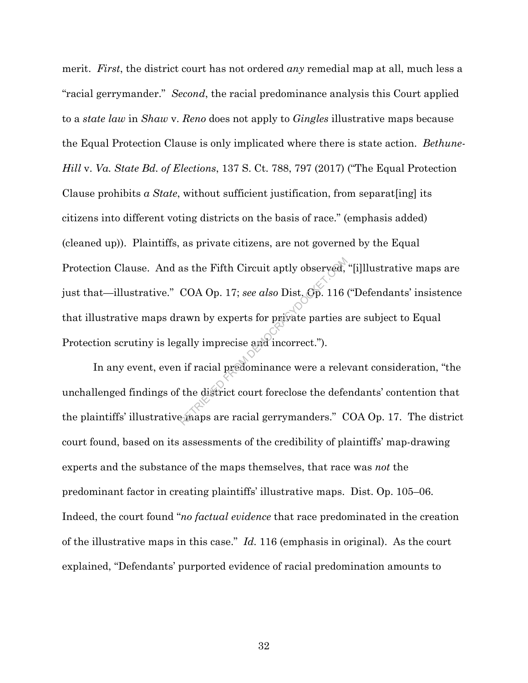merit. *First*, the district court has not ordered *any* remedial map at all, much less a "racial gerrymander." *Second*, the racial predominance analysis this Court applied to a *state law* in *Shaw* v. *Reno* does not apply to *Gingles* illustrative maps because the Equal Protection Clause is only implicated where there is state action. *Bethune-Hill* v. *Va. State Bd. of Elections*, 137 S. Ct. 788, 797 (2017) ("The Equal Protection Clause prohibits *a State*, without sufficient justification, from separat[ing] its citizens into different voting districts on the basis of race." (emphasis added) (cleaned up)). Plaintiffs, as private citizens, are not governed by the Equal Protection Clause. And as the Fifth Circuit aptly observed, "[i]llustrative maps are just that—illustrative." COA Op. 17; *see also* Dist. Op. 116 ("Defendants' insistence that illustrative maps drawn by experts for private parties are subject to Equal Protection scrutiny is legally imprecise and incorrect."). as the Fifth Circuit aptly observed,<br>COA Op. 17; see also Dist. Cp. 116<br>awn by experts for private parties and<br>gally imprecise and incorrect.").<br>i if racial predominance were a relevant<br>the district court foreclose the def

In any event, even if racial predominance were a relevant consideration, "the unchallenged findings of the district court foreclose the defendants' contention that the plaintiffs' illustrative maps are racial gerrymanders." COA Op. 17. The district court found, based on its assessments of the credibility of plaintiffs' map-drawing experts and the substance of the maps themselves, that race was *not* the predominant factor in creating plaintiffs' illustrative maps. Dist. Op. 105–06. Indeed, the court found "*no factual evidence* that race predominated in the creation of the illustrative maps in this case." *Id.* 116 (emphasis in original). As the court explained, "Defendants' purported evidence of racial predomination amounts to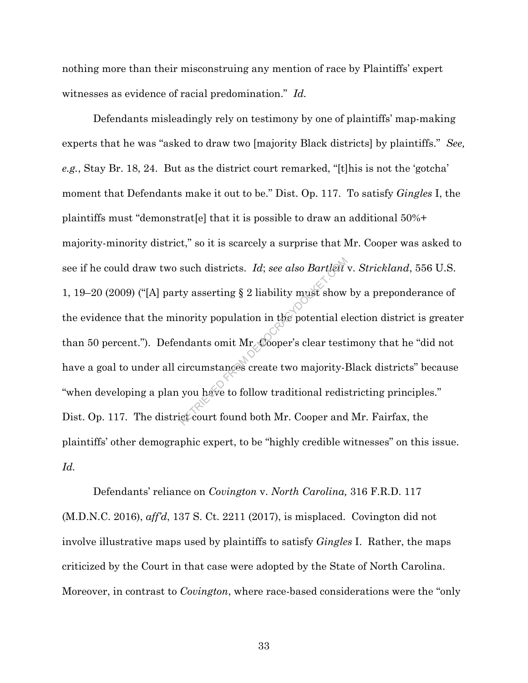nothing more than their misconstruing any mention of race by Plaintiffs' expert witnesses as evidence of racial predomination." *Id.* 

Defendants misleadingly rely on testimony by one of plaintiffs' map-making experts that he was "asked to draw two [majority Black districts] by plaintiffs." *See, e.g.*, Stay Br. 18, 24. But as the district court remarked, "[t]his is not the 'gotcha' moment that Defendants make it out to be." Dist. Op. 117. To satisfy *Gingles* I, the plaintiffs must "demonstrat[e] that it is possible to draw an additional 50%+ majority-minority district," so it is scarcely a surprise that Mr. Cooper was asked to see if he could draw two such districts. *Id*; *see also Bartlett* v. *Strickland*, 556 U.S. 1, 19–20 (2009) ("[A] party asserting § 2 liability must show by a preponderance of the evidence that the minority population in the potential election district is greater than 50 percent."). Defendants omit Mr. Cooper's clear testimony that he "did not have a goal to under all circumstances create two majority-Black districts" because "when developing a plan you have to follow traditional redistricting principles." Dist. Op. 117. The district court found both Mr. Cooper and Mr. Fairfax, the plaintiffs' other demographic expert, to be "highly credible witnesses" on this issue. *Id.* such districts. *Id*; see also Bartlent<br>ty asserting § 2 liability must show<br>nority population in the potential el<br>ndants omit Mr. Cooper's clear testi<br>circumstances create two majority-l<br>you have to follow traditional red

Defendants' reliance on *Covington* v. *North Carolina,* 316 F.R.D. 117 (M.D.N.C. 2016), *aff'd*, 137 S. Ct. 2211 (2017), is misplaced. Covington did not involve illustrative maps used by plaintiffs to satisfy *Gingles* I. Rather, the maps criticized by the Court in that case were adopted by the State of North Carolina. Moreover, in contrast to *Covington*, where race-based considerations were the "only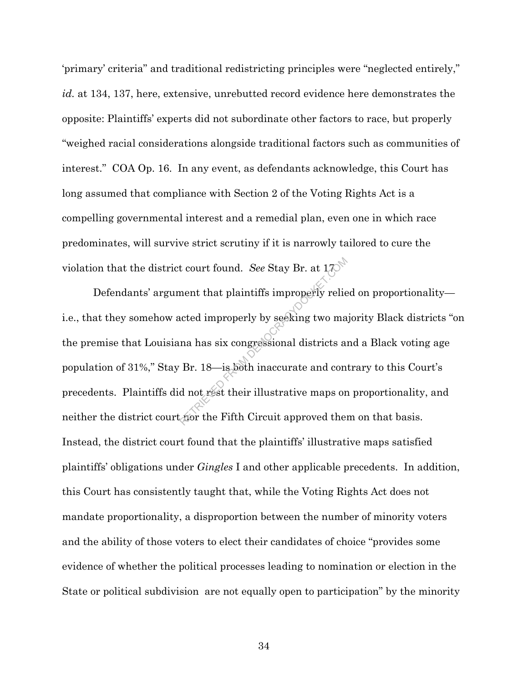'primary' criteria" and traditional redistricting principles were "neglected entirely," *id.* at 134, 137, here, extensive, unrebutted record evidence here demonstrates the opposite: Plaintiffs' experts did not subordinate other factors to race, but properly "weighed racial considerations alongside traditional factors such as communities of interest." COA Op. 16. In any event, as defendants acknowledge, this Court has long assumed that compliance with Section 2 of the Voting Rights Act is a compelling governmental interest and a remedial plan, even one in which race predominates, will survive strict scrutiny if it is narrowly tailored to cure the violation that the district court found. *See* Stay Br. at 17.

Defendants' argument that plaintiffs improperly relied on proportionality i.e., that they somehow acted improperly by seeking two majority Black districts "on the premise that Louisiana has six congressional districts and a Black voting age population of 31%," Stay Br. 18—is both inaccurate and contrary to this Court's precedents. Plaintiffs did not rest their illustrative maps on proportionality, and neither the district court nor the Fifth Circuit approved them on that basis. Instead, the district court found that the plaintiffs' illustrative maps satisfied plaintiffs' obligations under *Gingles* I and other applicable precedents. In addition, this Court has consistently taught that, while the Voting Rights Act does not mandate proportionality, a disproportion between the number of minority voters and the ability of those voters to elect their candidates of choice "provides some evidence of whether the political processes leading to nomination or election in the State or political subdivision are not equally open to participation" by the minority report found. See Stay Br. at 170<sup>00</sup><br>
Report that plaintiffs improperly relies<br>
acted improperly by seeking two ma<br>
na has six congressional districts at<br>
Br. 18—is both inaccurate and con<br>
d not rest their illustrative m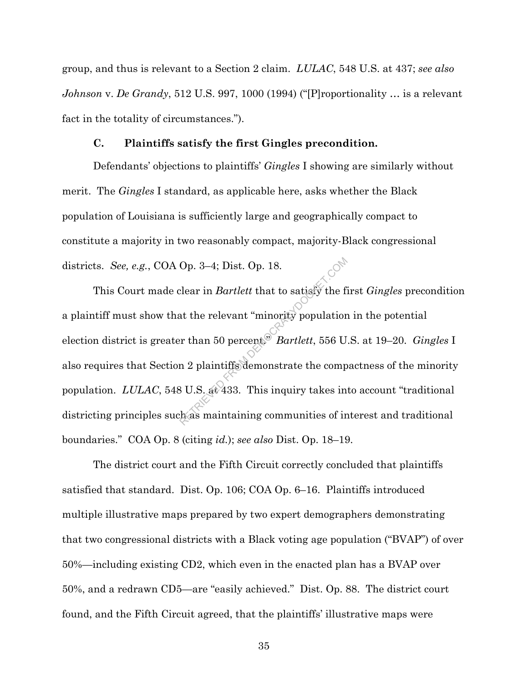group, and thus is relevant to a Section 2 claim. *LULAC*, 548 U.S. at 437; *see also Johnson* v. *De Grandy*, 512 U.S. 997, 1000 (1994) ("[P]roportionality … is a relevant fact in the totality of circumstances.").

#### **C. Plaintiffs satisfy the first Gingles precondition.**

Defendants' objections to plaintiffs' *Gingles* I showing are similarly without merit. The *Gingles* I standard, as applicable here, asks whether the Black population of Louisiana is sufficiently large and geographically compact to constitute a majority in two reasonably compact, majority-Black congressional districts. *See, e.g.*, COA Op. 3–4; Dist. Op. 18.

This Court made clear in *Bartlett* that to satisfy the first *Gingles* precondition a plaintiff must show that the relevant "minority population in the potential election district is greater than 50 percent." *Bartlett*, 556 U.S. at 19–20. *Gingles* I also requires that Section 2 plaintiffs demonstrate the compactness of the minority population. *LULAC*, 548 U.S. at 433.This inquiry takes into account "traditional districting principles such as maintaining communities of interest and traditional boundaries." COA Op. 8 (citing *id.*); *see also* Dist. Op. 18–19. Op. 3–4; Dist. Op. 18.<br>
Elear in *Bartlett* that to satisfy the fit<br>
at the relevant "minority population"<br>
From 50 percent.<br>
Bartlett, 556 U<br>
and 2 plaintiffs demonstrate the comp<br>
BU.S. at 433. This inquiry takes in<br>
th

The district court and the Fifth Circuit correctly concluded that plaintiffs satisfied that standard. Dist. Op. 106; COA Op. 6–16. Plaintiffs introduced multiple illustrative maps prepared by two expert demographers demonstrating that two congressional districts with a Black voting age population ("BVAP") of over 50%—including existing CD2, which even in the enacted plan has a BVAP over 50%, and a redrawn CD5—are "easily achieved." Dist. Op. 88. The district court found, and the Fifth Circuit agreed, that the plaintiffs' illustrative maps were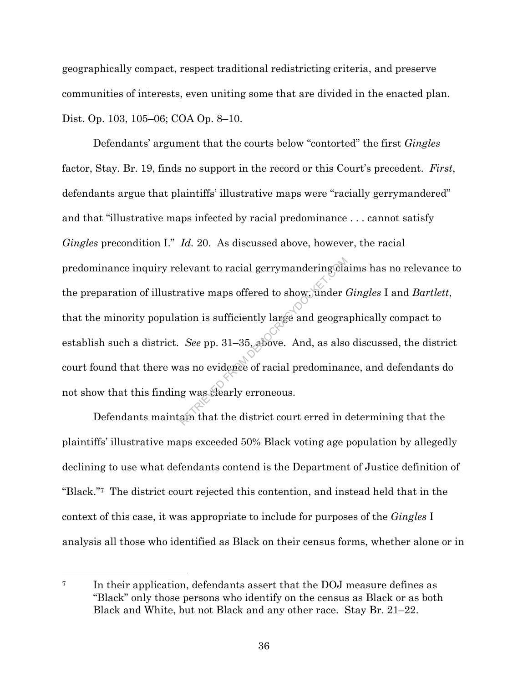geographically compact, respect traditional redistricting criteria, and preserve communities of interests, even uniting some that are divided in the enacted plan. Dist. Op. 103, 105–06; COA Op. 8–10.

Defendants' argument that the courts below "contorted" the first *Gingles* factor, Stay. Br. 19, finds no support in the record or this Court's precedent. *First*, defendants argue that plaintiffs' illustrative maps were "racially gerrymandered" and that "illustrative maps infected by racial predominance . . . cannot satisfy *Gingles* precondition I." *Id.* 20. As discussed above, however, the racial predominance inquiry relevant to racial gerrymandering claims has no relevance to the preparation of illustrative maps offered to show, under *Gingles* I and *Bartlett*, that the minority population is sufficiently large and geographically compact to establish such a district. *See* pp. 31–35, above. And, as also discussed, the district court found that there was no evidence of racial predominance, and defendants do not show that this finding was clearly erroneous. levant to racial gerrymandering@la<br>
rative maps offered to show, under the<br>
tion is sufficiently large and geogra<br>
See pp. 31–35, above. And, as also<br>
as no evidence of racial predominar<br>
g was clearly erroneous.<br>
am that

Defendants maintain that the district court erred in determining that the plaintiffs' illustrative maps exceeded 50% Black voting age population by allegedly declining to use what defendants contend is the Department of Justice definition of "Black."7 The district court rejected this contention, and instead held that in the context of this case, it was appropriate to include for purposes of the *Gingles* I analysis all those who identified as Black on their census forms, whether alone or in

<sup>&</sup>lt;sup>7</sup> In their application, defendants assert that the DOJ measure defines as "Black" only those persons who identify on the census as Black or as both Black and White, but not Black and any other race. Stay Br. 21–22.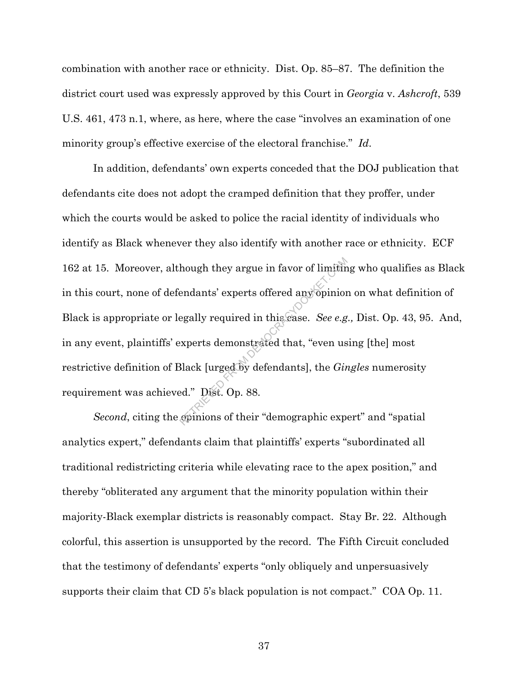combination with another race or ethnicity. Dist. Op. 85–87. The definition the district court used was expressly approved by this Court in *Georgia* v. *Ashcroft*, 539 U.S. 461, 473 n.1, where, as here, where the case "involves an examination of one minority group's effective exercise of the electoral franchise." *Id*.

In addition, defendants' own experts conceded that the DOJ publication that defendants cite does not adopt the cramped definition that they proffer, under which the courts would be asked to police the racial identity of individuals who identify as Black whenever they also identify with another race or ethnicity. ECF 162 at 15. Moreover, although they argue in favor of limiting who qualifies as Black in this court, none of defendants' experts offered any opinion on what definition of Black is appropriate or legally required in this case. *See e.g.,* Dist. Op. 43, 95. And, in any event, plaintiffs' experts demonstrated that, "even using [the] most restrictive definition of Black [urged by defendants], the *Gingles* numerosity requirement was achieved." Dist. Op. 88. hough they argue in favor of limitin<br>
endants' experts offered any opinion<br>
egally required in this case. See e.g<br>
experts demonstrated that, "even us<br>
Black [urged by defendants], the *Gir*<br>
ed." Dist. Op. 88.<br>
epinions o

*Second*, citing the opinions of their "demographic expert" and "spatial analytics expert," defendants claim that plaintiffs' experts "subordinated all traditional redistricting criteria while elevating race to the apex position," and thereby "obliterated any argument that the minority population within their majority-Black exemplar districts is reasonably compact. Stay Br. 22. Although colorful, this assertion is unsupported by the record. The Fifth Circuit concluded that the testimony of defendants' experts "only obliquely and unpersuasively supports their claim that CD 5's black population is not compact." COA Op. 11.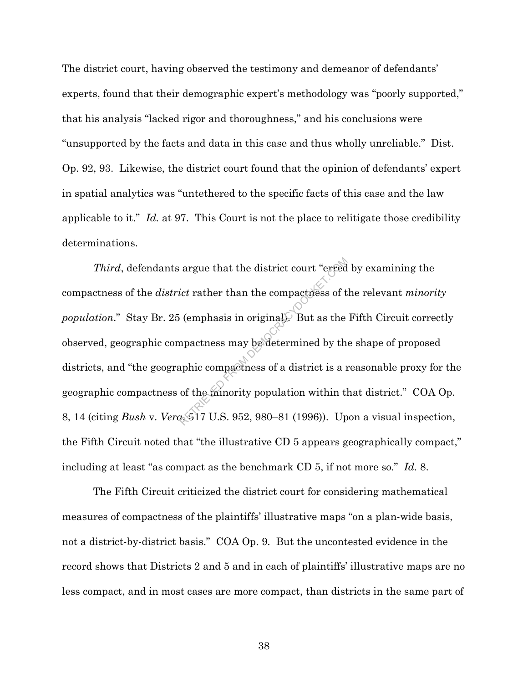The district court, having observed the testimony and demeanor of defendants' experts, found that their demographic expert's methodology was "poorly supported," that his analysis "lacked rigor and thoroughness," and his conclusions were "unsupported by the facts and data in this case and thus wholly unreliable." Dist. Op. 92, 93. Likewise, the district court found that the opinion of defendants' expert in spatial analytics was "untethered to the specific facts of this case and the law applicable to it." *Id.* at 97. This Court is not the place to relitigate those credibility determinations.

*Third*, defendants argue that the district court "erred by examining the compactness of the *district* rather than the compactness of the relevant *minority population*." Stay Br. 25 (emphasis in original). But as the Fifth Circuit correctly observed, geographic compactness may be determined by the shape of proposed districts, and "the geographic compactness of a district is a reasonable proxy for the geographic compactness of the minority population within that district." COA Op. 8, 14 (citing *Bush* v. *Vera*, 517 U.S. 952, 980–81 (1996)). Upon a visual inspection, the Fifth Circuit noted that "the illustrative CD 5 appears geographically compact," including at least "as compact as the benchmark CD 5, if not more so." *Id.* 8. argue that the district court "erred<br>
ict rather than the compactness of t<br>
(emphasis in original). But as the<br>
npactness may be determined by th<br>
aphic compactness of a district is a n<br>
of the minority population within t

The Fifth Circuit criticized the district court for considering mathematical measures of compactness of the plaintiffs' illustrative maps "on a plan-wide basis, not a district-by-district basis." COA Op. 9. But the uncontested evidence in the record shows that Districts 2 and 5 and in each of plaintiffs' illustrative maps are no less compact, and in most cases are more compact, than districts in the same part of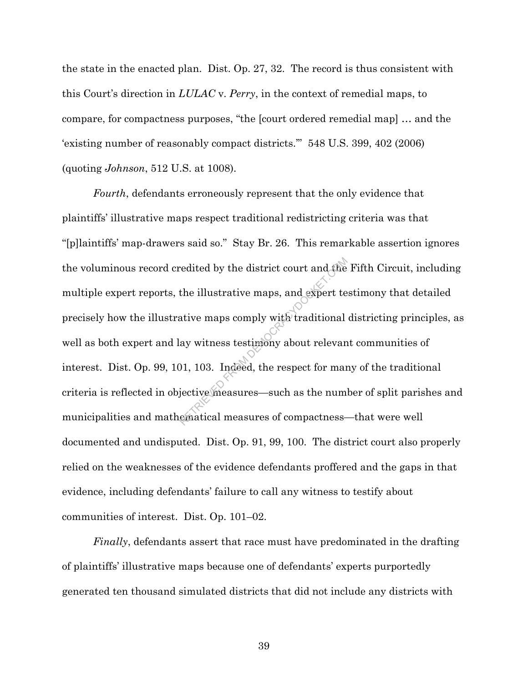the state in the enacted plan. Dist. Op. 27, 32. The record is thus consistent with this Court's direction in *LULAC* v. *Perry*, in the context of remedial maps, to compare, for compactness purposes, "the [court ordered remedial map] … and the 'existing number of reasonably compact districts.'" 548 U.S. 399, 402 (2006) (quoting *Johnson*, 512 U.S. at 1008).

*Fourth*, defendants erroneously represent that the only evidence that plaintiffs' illustrative maps respect traditional redistricting criteria was that "[p]laintiffs' map-drawers said so." Stay Br. 26. This remarkable assertion ignores the voluminous record credited by the district court and the Fifth Circuit, including multiple expert reports, the illustrative maps, and expert testimony that detailed precisely how the illustrative maps comply with traditional districting principles, as well as both expert and lay witness testimony about relevant communities of interest. Dist. Op. 99, 101, 103. Indeed, the respect for many of the traditional criteria is reflected in objective measures—such as the number of split parishes and municipalities and mathematical measures of compactness—that were well documented and undisputed. Dist. Op. 91, 99, 100. The district court also properly relied on the weaknesses of the evidence defendants proffered and the gaps in that evidence, including defendants' failure to call any witness to testify about communities of interest. Dist. Op. 101–02. redited by the district court and the<br>the illustrative maps, and expert te<br>ative maps comply with traditional<br>ay witness testiniony about relevan<br>01, 103. Indeed, the respect for man<br>jective measures—such as the num<br>ematic

*Finally*, defendants assert that race must have predominated in the drafting of plaintiffs' illustrative maps because one of defendants' experts purportedly generated ten thousand simulated districts that did not include any districts with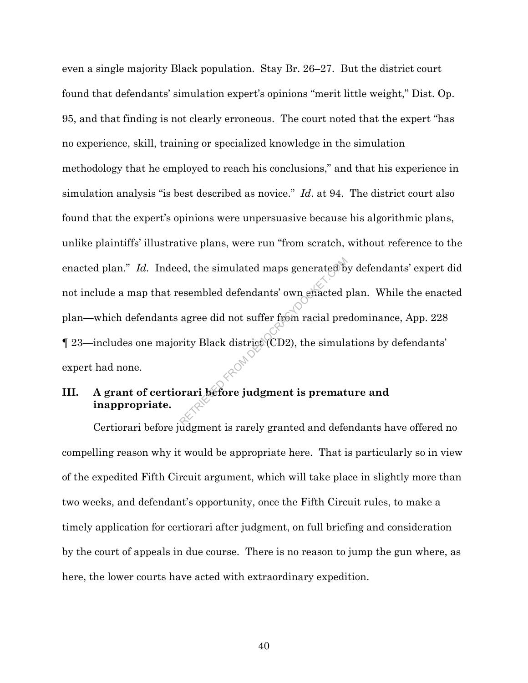even a single majority Black population. Stay Br. 26–27. But the district court found that defendants' simulation expert's opinions "merit little weight," Dist. Op. 95, and that finding is not clearly erroneous. The court noted that the expert "has no experience, skill, training or specialized knowledge in the simulation methodology that he employed to reach his conclusions," and that his experience in simulation analysis "is best described as novice." *Id*. at 94. The district court also found that the expert's opinions were unpersuasive because his algorithmic plans, unlike plaintiffs' illustrative plans, were run "from scratch, without reference to the enacted plan." *Id.* Indeed, the simulated maps generated by defendants' expert did not include a map that resembled defendants' own enacted plan. While the enacted plan—which defendants agree did not suffer from racial predominance, App. 228 ¶ 23—includes one majority Black district (CD2), the simulations by defendants' expert had none. esembled defendants' own enacted process agree did not suffer from racial pre

# **III. A grant of certiorari before judgment is premature and inappropriate.**

Certiorari before judgment is rarely granted and defendants have offered no compelling reason why it would be appropriate here. That is particularly so in view of the expedited Fifth Circuit argument, which will take place in slightly more than two weeks, and defendant's opportunity, once the Fifth Circuit rules, to make a timely application for certiorari after judgment, on full briefing and consideration by the court of appeals in due course. There is no reason to jump the gun where, as here, the lower courts have acted with extraordinary expedition.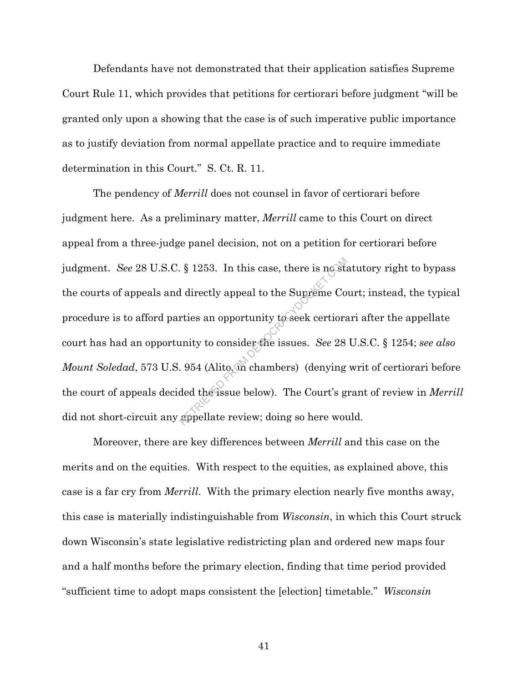Defendants have not demonstrated that their application satisfies Supreme Court Rule 11, which provides that petitions for certiorari before judgment "will be granted only upon a showing that the case is of such imperative public importance as to justify deviation from normal appellate practice and to require immediate determination in this Court." S. Ct. R. 11.

The pendency of *Merrill* does not counsel in favor of certiorari before judgment here. As a preliminary matter, *Merrill* came to this Court on direct appeal from a three-judge panel decision, not on a petition for certiorari before judgment. *See* 28 U.S.C. § 1253. In this case, there is no statutory right to bypass the courts of appeals and directly appeal to the Supreme Court; instead, the typical procedure is to afford parties an opportunity to seek certiorari after the appellate court has had an opportunity to consider the issues. *See* 28 U.S.C. § 1254; *see also Mount Soledad*, 573 U.S. 954 (Alito, in chambers) (denying writ of certiorari before the court of appeals decided the issue below). The Court's grant of review in *Merrill*  did not short-circuit any appellate review; doing so here would.  $\S$  1253. In this case, there is no standard in the Supreme Continuity to consider the issues. See 28.<br>
1954 (Alito, on chambers) (denying ded the issue below). The Court's grappellate review; doing so here wou

Moreover, there are key differences between *Merrill* and this case on the merits and on the equities. With respect to the equities, as explained above, this case is a far cry from *Merrill*. With the primary election nearly five months away, this case is materially indistinguishable from *Wisconsin*, in which this Court struck down Wisconsin's state legislative redistricting plan and ordered new maps four and a half months before the primary election, finding that time period provided "sufficient time to adopt maps consistent the [election] timetable." *Wisconsin*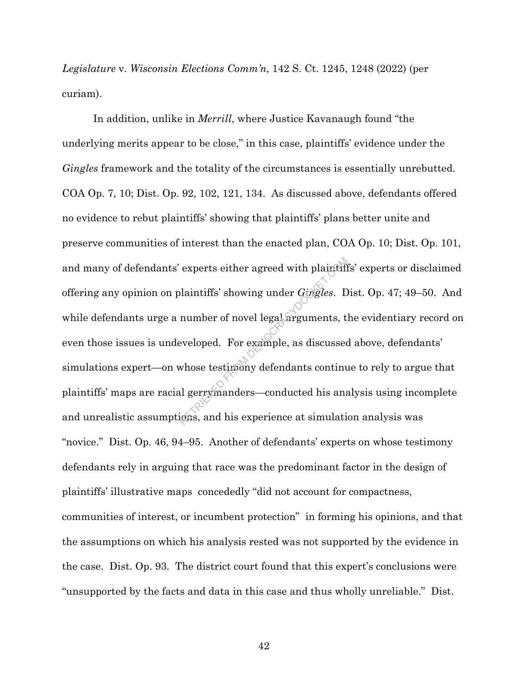*Legislature* v. *Wisconsin Elections Comm'n*, 142 S. Ct. 1245, 1248 (2022) (per curiam).

In addition, unlike in *Merrill*, where Justice Kavanaugh found "the underlying merits appear to be close," in this case, plaintiffs' evidence under the *Gingles* framework and the totality of the circumstances is essentially unrebutted. COA Op. 7, 10; Dist. Op. 92, 102, 121, 134. As discussed above, defendants offered no evidence to rebut plaintiffs' showing that plaintiffs' plans better unite and preserve communities of interest than the enacted plan, COA Op. 10; Dist. Op. 101, and many of defendants' experts either agreed with plaintiffs' experts or disclaimed offering any opinion on plaintiffs' showing under *Gingles*. Dist. Op. 47; 49–50. And while defendants urge a number of novel legal arguments, the evidentiary record on even those issues is undeveloped. For example, as discussed above, defendants' simulations expert—on whose testimony defendants continue to rely to argue that plaintiffs' maps are racial gerrymanders—conducted his analysis using incomplete and unrealistic assumptions, and his experience at simulation analysis was "novice." Dist. Op. 46, 94–95. Another of defendants' experts on whose testimony defendants rely in arguing that race was the predominant factor in the design of plaintiffs' illustrative maps concededly "did not account for compactness, communities of interest, or incumbent protection" in forming his opinions, and that the assumptions on which his analysis rested was not supported by the evidence in the case. Dist. Op. 93. The district court found that this expert's conclusions were "unsupported by the facts and data in this case and thus wholly unreliable." Dist. experts either agreed with plaintiff<br>plaintiffs' showing under *Gingles*. E<br>number of novel legal arguments, t<br>eveloped. For example, as discussed<br>whose testimony defendants continual<br>gerry manders—conducted his analysis,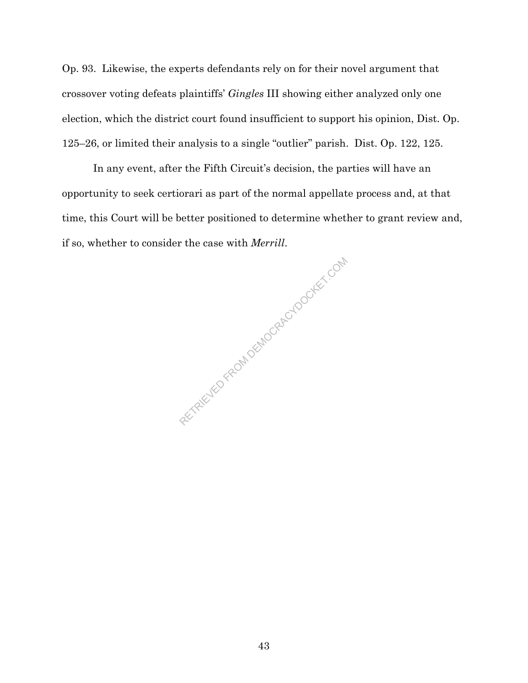Op. 93. Likewise, the experts defendants rely on for their novel argument that crossover voting defeats plaintiffs' *Gingles* III showing either analyzed only one election, which the district court found insufficient to support his opinion, Dist. Op. 125–26, or limited their analysis to a single "outlier" parish. Dist. Op. 122, 125.

In any event, after the Fifth Circuit's decision, the parties will have an opportunity to seek certiorari as part of the normal appellate process and, at that time, this Court will be better positioned to determine whether to grant review and, if so, whether to consider the case with *Merrill*.

RETRIEVED FROM DEMOCRACYDOCKET.COM